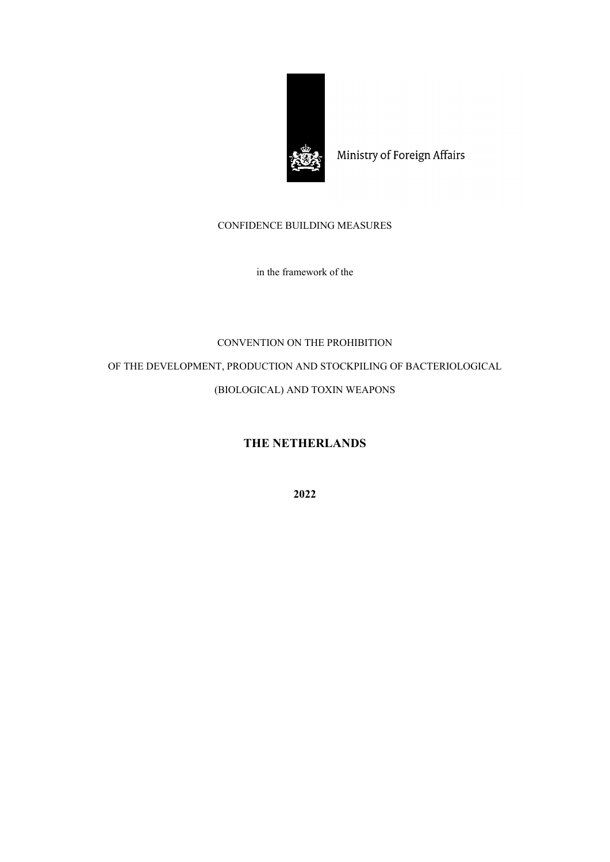

Ministry of Foreign Affairs

## CONFIDENCE BUILDING MEASURES

in the framework of the

## CONVENTION ON THE PROHIBITION

OF THE DEVELOPMENT, PRODUCTION AND STOCKPILING OF BACTERIOLOGICAL

## (BIOLOGICAL) AND TOXIN WEAPONS

## **THE NETHERLANDS**

**2022**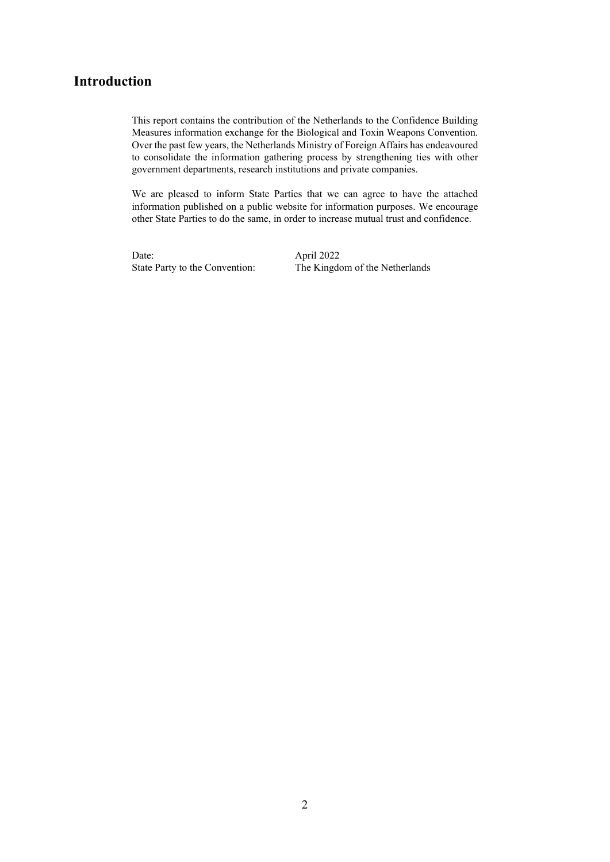## **Introduction**

This report contains the contribution of the Netherlands to the Confidence Building Measures information exchange for the Biological and Toxin Weapons Convention. Over the past few years, the Netherlands Ministry of Foreign Affairs has endeavoured to consolidate the information gathering process by strengthening ties with other government departments, research institutions and private companies.

We are pleased to inform State Parties that we can agree to have the attached information published on a public website for information purposes. We encourage other State Parties to do the same, in order to increase mutual trust and confidence.

Date: April 2022

State Party to the Convention: The Kingdom of the Netherlands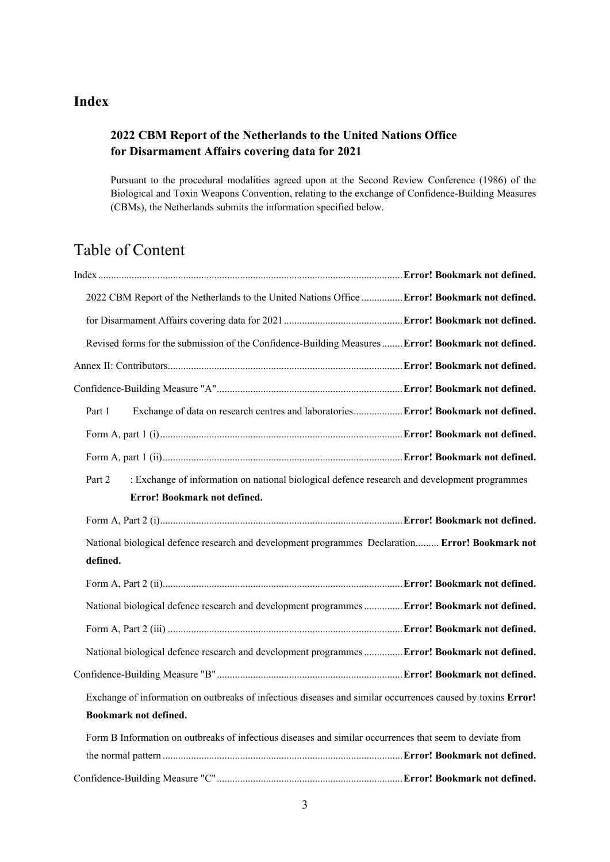# **Index**

## **2022 CBM Report of the Netherlands to the United Nations Office for Disarmament Affairs covering data for 2021**

Pursuant to the procedural modalities agreed upon at the Second Review Conference (1986) of the Biological and Toxin Weapons Convention, relating to the exchange of Confidence-Building Measures (CBMs), the Netherlands submits the information specified below.

# Table of Content

|          | 2022 CBM Report of the Netherlands to the United Nations Office  Error! Bookmark not defined.               |  |
|----------|-------------------------------------------------------------------------------------------------------------|--|
|          |                                                                                                             |  |
|          | Revised forms for the submission of the Confidence-Building Measures  Error! Bookmark not defined.          |  |
|          |                                                                                                             |  |
|          |                                                                                                             |  |
| Part 1   | Exchange of data on research centres and laboratories Error! Bookmark not defined.                          |  |
|          |                                                                                                             |  |
|          |                                                                                                             |  |
| Part 2   | : Exchange of information on national biological defence research and development programmes                |  |
|          | Error! Bookmark not defined.                                                                                |  |
|          |                                                                                                             |  |
|          | National biological defence research and development programmes Declaration Error! Bookmark not             |  |
| defined. |                                                                                                             |  |
|          |                                                                                                             |  |
|          | National biological defence research and development programmes  Error! Bookmark not defined.               |  |
|          |                                                                                                             |  |
|          | National biological defence research and development programmes  Error! Bookmark not defined.               |  |
|          |                                                                                                             |  |
|          | Exchange of information on outbreaks of infectious diseases and similar occurrences caused by toxins Error! |  |
|          | Bookmark not defined.                                                                                       |  |
|          | Form B Information on outbreaks of infectious diseases and similar occurrences that seem to deviate from    |  |
|          |                                                                                                             |  |
|          |                                                                                                             |  |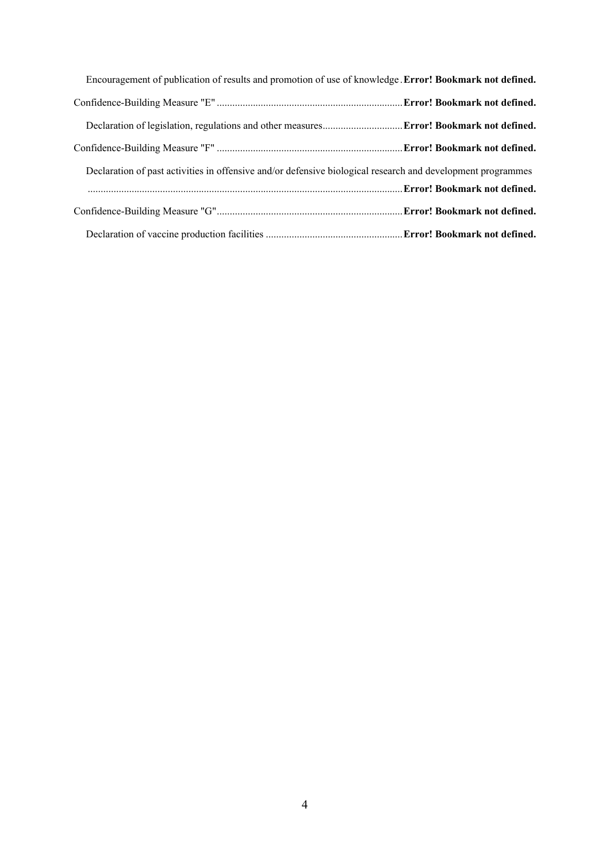| Encouragement of publication of results and promotion of use of knowledge. Error! Bookmark not defined.     |  |
|-------------------------------------------------------------------------------------------------------------|--|
|                                                                                                             |  |
|                                                                                                             |  |
|                                                                                                             |  |
| Declaration of past activities in offensive and/or defensive biological research and development programmes |  |
|                                                                                                             |  |
|                                                                                                             |  |
|                                                                                                             |  |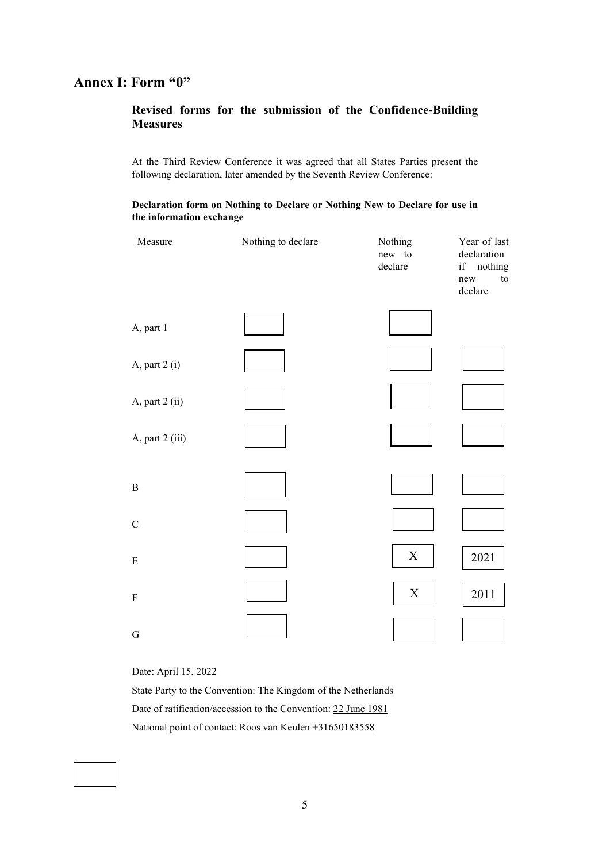## **Annex I: Form "0"**

## **Revised forms for the submission of the Confidence-Building Measures**

At the Third Review Conference it was agreed that all States Parties present the following declaration, later amended by the Seventh Review Conference:

### **Declaration form on Nothing to Declare or Nothing New to Declare for use in the information exchange**

| Measure         | Nothing to declare | Nothing<br>new to<br>declare | Year of last<br>declaration<br>if nothing<br>${\rm to}$<br>new<br>declare |
|-----------------|--------------------|------------------------------|---------------------------------------------------------------------------|
| A, part 1       |                    |                              |                                                                           |
| A, part 2 (i)   |                    |                              |                                                                           |
| A, part 2 (ii)  |                    |                              |                                                                           |
| A, part 2 (iii) |                    |                              |                                                                           |
| $\, {\bf B}$    |                    |                              |                                                                           |
| $\mathbf C$     |                    |                              |                                                                           |
| ${\bf E}$       |                    | $\mathbf X$                  | 2021                                                                      |
| ${\bf F}$       |                    | $\mathbf X$                  | 2011                                                                      |
| ${\bf G}$       |                    |                              |                                                                           |

Date: April 15, 2022

State Party to the Convention: The Kingdom of the Netherlands Date of ratification/accession to the Convention: 22 June 1981 National point of contact: Roos van Keulen +31650183558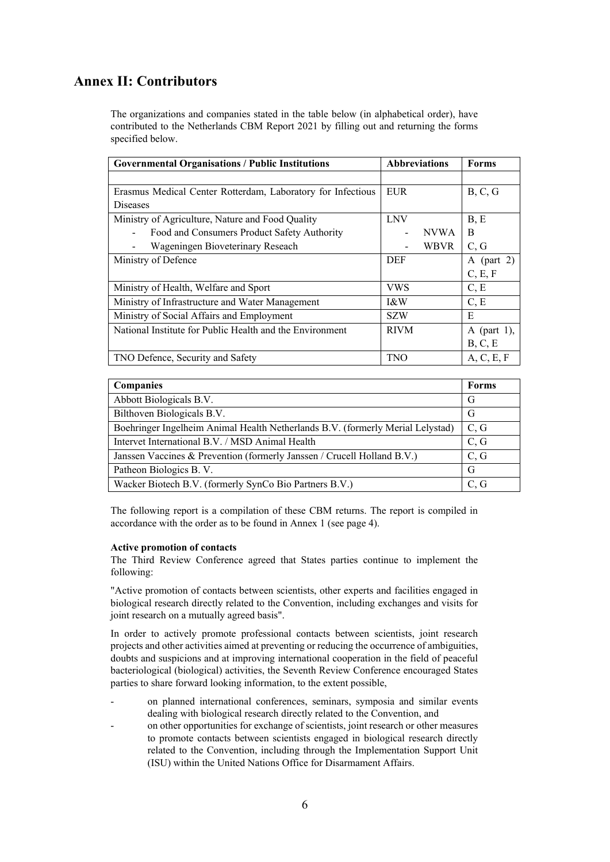## **Annex II: Contributors**

The organizations and companies stated in the table below (in alphabetical order), have contributed to the Netherlands CBM Report 2021 by filling out and returning the forms specified below.

| <b>Governmental Organisations / Public Institutions</b><br><b>Abbreviations</b> |             | <b>Forms</b> |             |
|---------------------------------------------------------------------------------|-------------|--------------|-------------|
|                                                                                 |             |              |             |
| Erasmus Medical Center Rotterdam, Laboratory for Infectious                     | <b>EUR</b>  |              | B, C, G     |
| <b>Diseases</b>                                                                 |             |              |             |
| Ministry of Agriculture, Nature and Food Quality                                | <b>LNV</b>  |              | B, E        |
| Food and Consumers Product Safety Authority                                     |             | <b>NVWA</b>  | B           |
| Wageningen Bioveterinary Reseach                                                |             | <b>WBVR</b>  | C, G        |
| Ministry of Defence                                                             | <b>DEF</b>  |              | A (part 2)  |
|                                                                                 |             |              | C, E, F     |
| Ministry of Health, Welfare and Sport                                           | VWS         |              | C, E        |
| Ministry of Infrastructure and Water Management                                 | 1&W         |              | C, E        |
| Ministry of Social Affairs and Employment                                       | <b>SZW</b>  |              | E           |
| National Institute for Public Health and the Environment                        | <b>RIVM</b> |              | A (part 1), |
|                                                                                 |             |              | B, C, E     |
| TNO Defence, Security and Safety                                                | <b>TNO</b>  |              | A, C, E, F  |

| <b>Companies</b>                                                               | <b>Forms</b> |
|--------------------------------------------------------------------------------|--------------|
| Abbott Biologicals B.V.                                                        | G            |
| Bilthoven Biologicals B.V.                                                     | G            |
| Boehringer Ingelheim Animal Health Netherlands B.V. (formerly Merial Lelystad) | C, G         |
| Intervet International B.V. / MSD Animal Health                                | C, G         |
| Janssen Vaccines & Prevention (formerly Janssen / Crucell Holland B.V.)        | C, G         |
| Patheon Biologics B.V.                                                         | G            |
| Wacker Biotech B.V. (formerly SynCo Bio Partners B.V.)                         | C, G         |

The following report is a compilation of these CBM returns. The report is compiled in accordance with the order as to be found in Annex 1 (see page 4).

### **Active promotion of contacts**

The Third Review Conference agreed that States parties continue to implement the following:

"Active promotion of contacts between scientists, other experts and facilities engaged in biological research directly related to the Convention, including exchanges and visits for joint research on a mutually agreed basis".

In order to actively promote professional contacts between scientists, joint research projects and other activities aimed at preventing or reducing the occurrence of ambiguities, doubts and suspicions and at improving international cooperation in the field of peaceful bacteriological (biological) activities, the Seventh Review Conference encouraged States parties to share forward looking information, to the extent possible,

- on planned international conferences, seminars, symposia and similar events dealing with biological research directly related to the Convention, and
- on other opportunities for exchange of scientists, joint research or other measures to promote contacts between scientists engaged in biological research directly related to the Convention, including through the Implementation Support Unit (ISU) within the United Nations Office for Disarmament Affairs.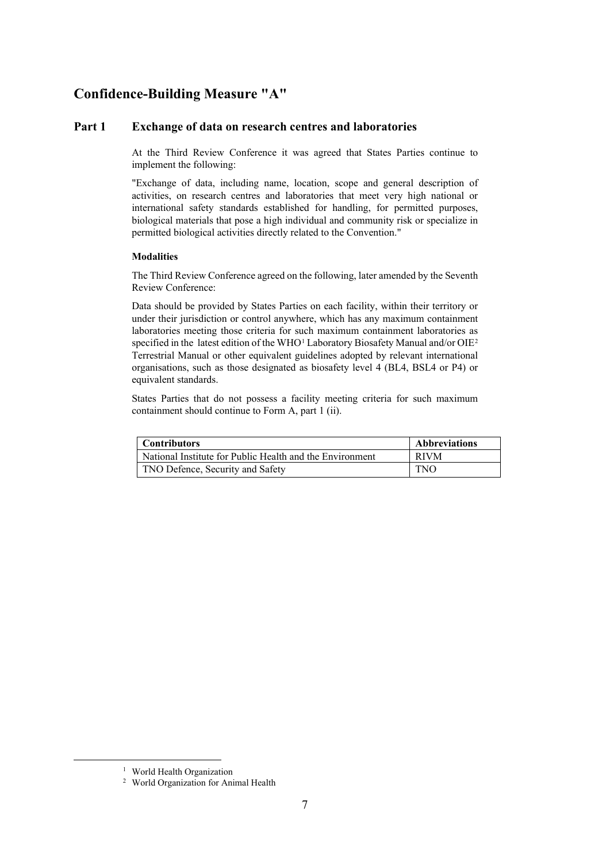## **Confidence-Building Measure "A"**

### **Part 1 Exchange of data on research centres and laboratories**

At the Third Review Conference it was agreed that States Parties continue to implement the following:

"Exchange of data, including name, location, scope and general description of activities, on research centres and laboratories that meet very high national or international safety standards established for handling, for permitted purposes, biological materials that pose a high individual and community risk or specialize in permitted biological activities directly related to the Convention."

### **Modalities**

The Third Review Conference agreed on the following, later amended by the Seventh Review Conference:

Data should be provided by States Parties on each facility, within their territory or under their jurisdiction or control anywhere, which has any maximum containment laboratories meeting those criteria for such maximum containment laboratories as specified in the latest edition of the WHO<sup>[1](#page-6-0)</sup> Laboratory Biosafety Manual and/or OIE<sup>[2](#page-6-1)</sup> Terrestrial Manual or other equivalent guidelines adopted by relevant international organisations, such as those designated as biosafety level 4 (BL4, BSL4 or P4) or equivalent standards.

States Parties that do not possess a facility meeting criteria for such maximum containment should continue to Form A, part 1 (ii).

| Contributors                                             | <b>Abbreviations</b> |
|----------------------------------------------------------|----------------------|
| National Institute for Public Health and the Environment | <b>RIVM</b>          |
| TNO Defence, Security and Safety                         | <b>TNO</b>           |

<span id="page-6-1"></span><span id="page-6-0"></span>

<sup>&</sup>lt;sup>1</sup> World Health Organization<br><sup>2</sup> World Organization for Animal Health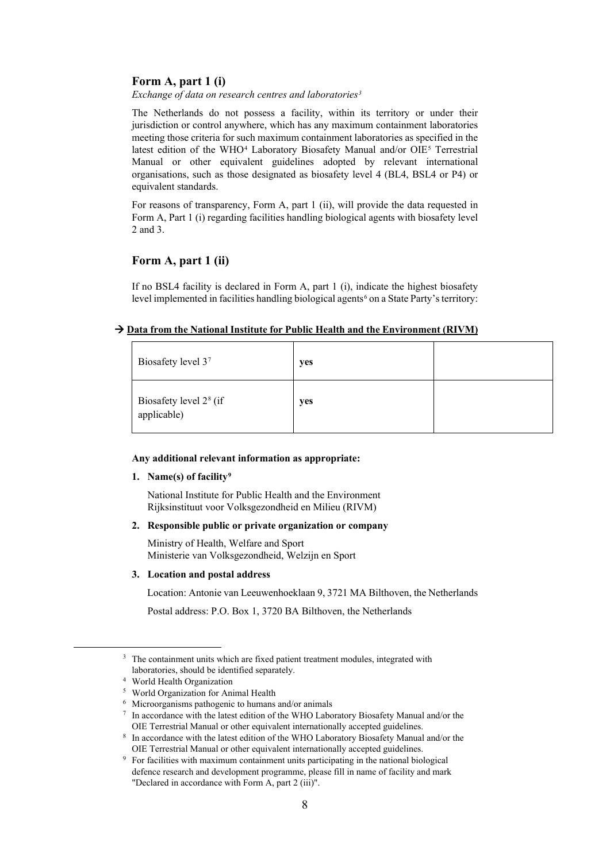### **Form A, part 1 (i)**

*Exchange of data on research centres and laboratories[3](#page-7-0)*

The Netherlands do not possess a facility, within its territory or under their jurisdiction or control anywhere, which has any maximum containment laboratories meeting those criteria for such maximum containment laboratories as specified in the latest edition of the WHO<sup>[4](#page-7-1)</sup> Laboratory Biosafety Manual and/or OIE<sup>[5](#page-7-2)</sup> Terrestrial Manual or other equivalent guidelines adopted by relevant international organisations, such as those designated as biosafety level 4 (BL4, BSL4 or P4) or equivalent standards.

For reasons of transparency, Form A, part 1 (ii), will provide the data requested in Form A, Part 1 (i) regarding facilities handling biological agents with biosafety level 2 and 3.

### **Form A, part 1 (ii)**

If no BSL4 facility is declared in Form A, part 1 (i), indicate the highest biosafety level implemented in facilities handling biological agents<sup>[6](#page-7-3)</sup> on a State Party's territory:

### → Data from the National Institute for Public Health and the Environment (RIVM)

| Biosafety level 37                                | yes |  |
|---------------------------------------------------|-----|--|
| Biosafety level 2 <sup>8</sup> (if<br>applicable) | yes |  |

#### **Any additional relevant information as appropriate:**

### **1. Name(s) of facility[9](#page-7-6)**

National Institute for Public Health and the Environment Rijksinstituut voor Volksgezondheid en Milieu (RIVM)

### **2. Responsible public or private organization or company**

Ministry of Health, Welfare and Sport Ministerie van Volksgezondheid, Welzijn en Sport

#### **3. Location and postal address**

Location: Antonie van Leeuwenhoeklaan 9, 3721 MA Bilthoven, the Netherlands

Postal address: P.O. Box 1, 3720 BA Bilthoven, the Netherlands

<span id="page-7-0"></span><sup>&</sup>lt;sup>3</sup> The containment units which are fixed patient treatment modules, integrated with laboratories, should be identified separately.<br>
<sup>4</sup> World Health Organization<br>
<sup>5</sup> World Organization for Animal Health<br>
<sup>6</sup> Microorganisms pathogenic to humans and/or animals<br>
<sup>7</sup> In accordance with the latest edition of

<span id="page-7-2"></span><span id="page-7-1"></span>

<span id="page-7-3"></span>

<span id="page-7-4"></span>OIE Terrestrial Manual or other equivalent internationally accepted guidelines. 8 In accordance with the latest edition of the WHO Laboratory Biosafety Manual and/or the

<span id="page-7-6"></span><span id="page-7-5"></span>OIE Terrestrial Manual or other equivalent internationally accepted guidelines. 9 For facilities with maximum containment units participating in the national biological defence research and development programme, please fill in name of facility and mark "Declared in accordance with Form A, part 2 (iii)".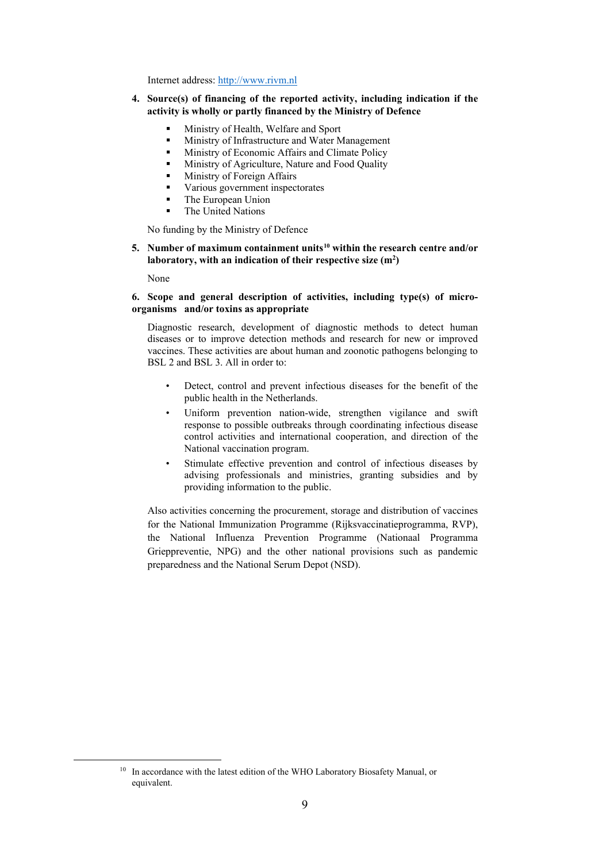Internet address: [http://www.rivm.nl](http://www.rivm.nl/)

### **4. Source(s) of financing of the reported activity, including indication if the activity is wholly or partly financed by the Ministry of Defence**

- Ministry of Health, Welfare and Sport
- Ministry of Infrastructure and Water Management
- **Ministry of Economic Affairs and Climate Policy**
- Ministry of Agriculture, Nature and Food Quality
- Ministry of Foreign Affairs
- Various government inspectorates
- The European Union
- The United Nations

No funding by the Ministry of Defence

## **5. Number of maximum containment units[10](#page-8-0) within the research centre and/or**  laboratory, with an indication of their respective size (m<sup>2</sup>)

None

### **6. Scope and general description of activities, including type(s) of microorganisms and/or toxins as appropriate**

Diagnostic research, development of diagnostic methods to detect human diseases or to improve detection methods and research for new or improved vaccines. These activities are about human and zoonotic pathogens belonging to BSL 2 and BSL 3. All in order to:

- Detect, control and prevent infectious diseases for the benefit of the public health in the Netherlands.
- Uniform prevention nation-wide, strengthen vigilance and swift response to possible outbreaks through coordinating infectious disease control activities and international cooperation, and direction of the National vaccination program.
- Stimulate effective prevention and control of infectious diseases by advising professionals and ministries, granting subsidies and by providing information to the public.

Also activities concerning the procurement, storage and distribution of vaccines for the National Immunization Programme (Rijksvaccinatieprogramma, RVP), the National Influenza Prevention Programme (Nationaal Programma Grieppreventie, NPG) and the other national provisions such as pandemic preparedness and the National Serum Depot (NSD).

<span id="page-8-0"></span><sup>&</sup>lt;sup>10</sup> In accordance with the latest edition of the WHO Laboratory Biosafety Manual, or equivalent.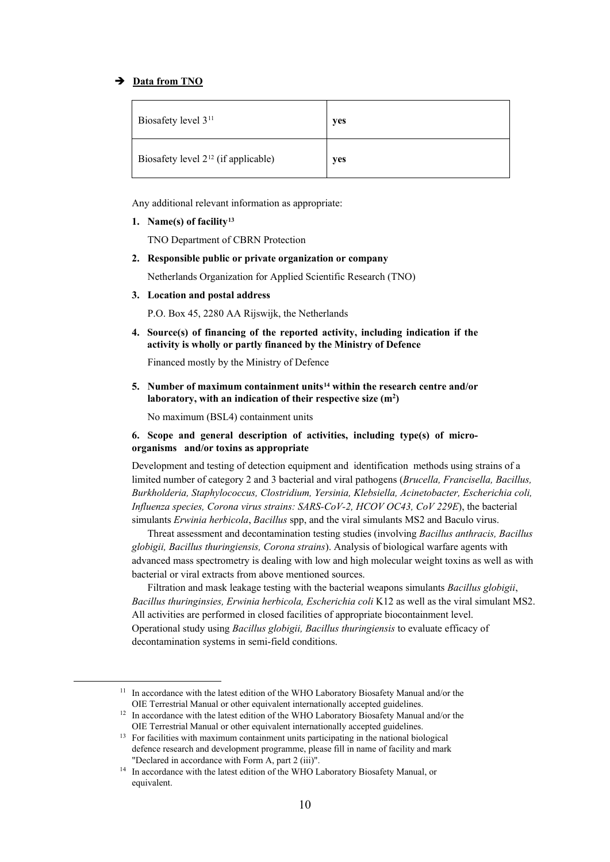### **→** Data from TNO

| Biosafety level 3 <sup>11</sup>          | yes |
|------------------------------------------|-----|
| Biosafety level $2^{12}$ (if applicable) | yes |

Any additional relevant information as appropriate:

**1. Name(s) of facility[13](#page-9-2)**

TNO Department of CBRN Protection

**2. Responsible public or private organization or company**

Netherlands Organization for Applied Scientific Research (TNO)

**3. Location and postal address**

P.O. Box 45, 2280 AA Rijswijk, the Netherlands

**4. Source(s) of financing of the reported activity, including indication if the activity is wholly or partly financed by the Ministry of Defence**

Financed mostly by the Ministry of Defence

**5. Number of maximum containment units[14](#page-9-3) within the research centre and/or**  laboratory, with an indication of their respective size (m<sup>2</sup>)

No maximum (BSL4) containment units

### **6. Scope and general description of activities, including type(s) of microorganisms and/or toxins as appropriate**

Development and testing of detection equipment and identification methods using strains of a limited number of category 2 and 3 bacterial and viral pathogens (*Brucella, Francisella, Bacillus, Burkholderia, Staphylococcus, Clostridium, Yersinia, Klebsiella, Acinetobacter, Escherichia coli, Influenza species, Corona virus strains: SARS-CoV-2, HCOV OC43, CoV 229E*), the bacterial simulants *Erwinia herbicola*, *Bacillus* spp, and the viral simulants MS2 and Baculo virus.

Threat assessment and decontamination testing studies (involving *Bacillus anthracis, Bacillus globigii, Bacillus thuringiensis, Corona strains*). Analysis of biological warfare agents with advanced mass spectrometry is dealing with low and high molecular weight toxins as well as with bacterial or viral extracts from above mentioned sources.

Filtration and mask leakage testing with the bacterial weapons simulants *Bacillus globigii*, *Bacillus thuringinsies, Erwinia herbicola, Escherichia coli* K12 as well as the viral simulant MS2. All activities are performed in closed facilities of appropriate biocontainment level. Operational study using *Bacillus globigii, Bacillus thuringiensis* to evaluate efficacy of decontamination systems in semi-field conditions.

<span id="page-9-0"></span><sup>&</sup>lt;sup>11</sup> In accordance with the latest edition of the WHO Laboratory Biosafety Manual and/or the OIE Terrestrial Manual or other equivalent internationally accepted guidelines. 12 In accordance with the latest edition of the WHO Laboratory Biosafety Manual and/or the

<span id="page-9-2"></span><span id="page-9-1"></span>OIE Terrestrial Manual or other equivalent internationally accepted guidelines.<br><sup>13</sup> For facilities with maximum containment units participating in the national biological defence research and development programme, please fill in name of facility and mark "Declared in accordance with Form A, part 2 (iii)". 14 In accordance with the latest edition of the WHO Laboratory Biosafety Manual, or

<span id="page-9-3"></span>equivalent.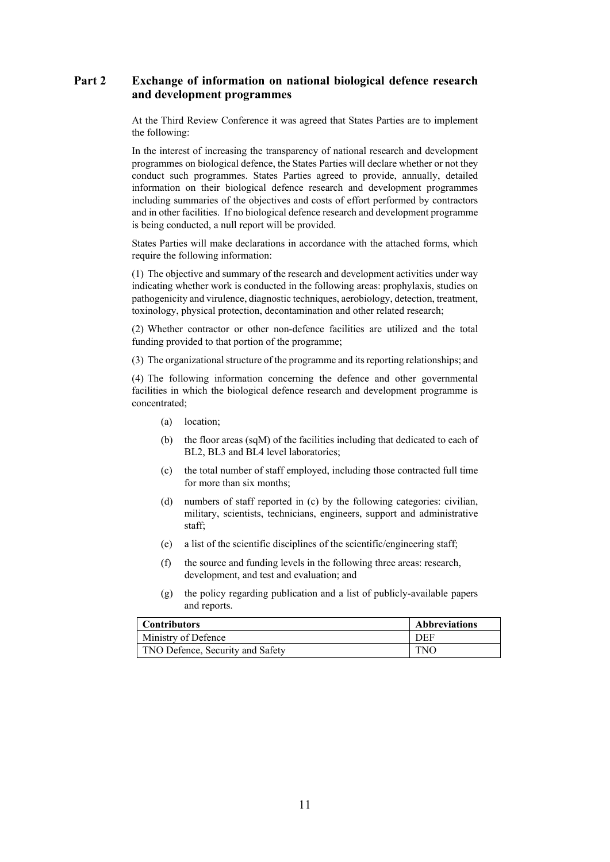## **Part 2 Exchange of information on national biological defence research and development programmes**

At the Third Review Conference it was agreed that States Parties are to implement the following:

In the interest of increasing the transparency of national research and development programmes on biological defence, the States Parties will declare whether or not they conduct such programmes. States Parties agreed to provide, annually, detailed information on their biological defence research and development programmes including summaries of the objectives and costs of effort performed by contractors and in other facilities. If no biological defence research and development programme is being conducted, a null report will be provided.

States Parties will make declarations in accordance with the attached forms, which require the following information:

(1) The objective and summary of the research and development activities under way indicating whether work is conducted in the following areas: prophylaxis, studies on pathogenicity and virulence, diagnostic techniques, aerobiology, detection, treatment, toxinology, physical protection, decontamination and other related research;

(2) Whether contractor or other non-defence facilities are utilized and the total funding provided to that portion of the programme;

(3) The organizational structure of the programme and its reporting relationships; and

(4) The following information concerning the defence and other governmental facilities in which the biological defence research and development programme is concentrated;

- (a) location;
- (b) the floor areas (sqM) of the facilities including that dedicated to each of BL2, BL3 and BL4 level laboratories;
- (c) the total number of staff employed, including those contracted full time for more than six months;
- (d) numbers of staff reported in (c) by the following categories: civilian, military, scientists, technicians, engineers, support and administrative staff;
- (e) a list of the scientific disciplines of the scientific/engineering staff;
- (f) the source and funding levels in the following three areas: research, development, and test and evaluation; and
- (g) the policy regarding publication and a list of publicly-available papers and reports.

| <b>Contributors</b>              | <b>Abbreviations</b> |
|----------------------------------|----------------------|
| Ministry of Defence              | DEF                  |
| TNO Defence, Security and Safety | <b>TNO</b>           |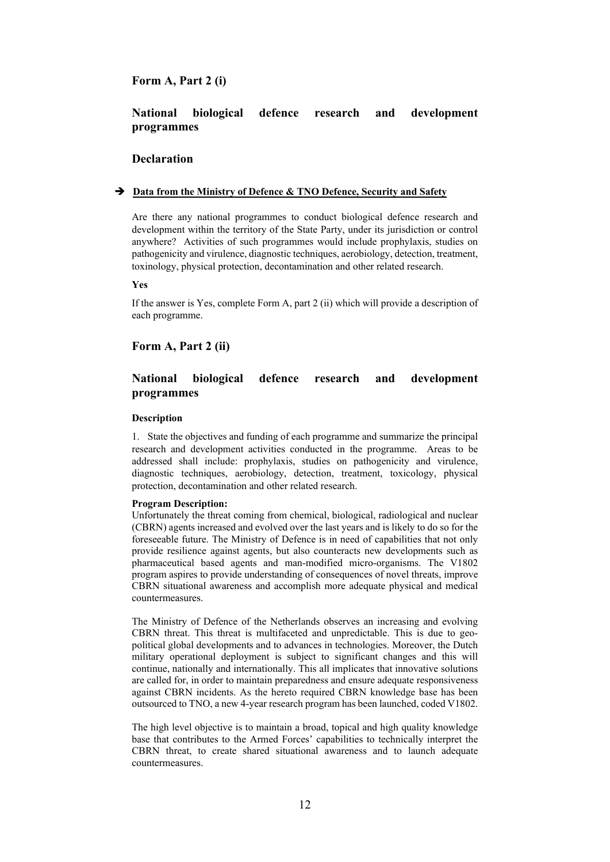## **Form A, Part 2 (i)**

## **National biological defence research and development programmes**

### **Declaration**

### **Data from the Ministry of Defence & TNO Defence, Security and Safety**

Are there any national programmes to conduct biological defence research and development within the territory of the State Party, under its jurisdiction or control anywhere? Activities of such programmes would include prophylaxis, studies on pathogenicity and virulence, diagnostic techniques, aerobiology, detection, treatment, toxinology, physical protection, decontamination and other related research.

**Yes**

If the answer is Yes, complete Form A, part 2 (ii) which will provide a description of each programme.

### **Form A, Part 2 (ii)**

## **National biological defence research and development programmes**

#### **Description**

1. State the objectives and funding of each programme and summarize the principal research and development activities conducted in the programme. Areas to be addressed shall include: prophylaxis, studies on pathogenicity and virulence, diagnostic techniques, aerobiology, detection, treatment, toxicology, physical protection, decontamination and other related research.

#### **Program Description:**

Unfortunately the threat coming from chemical, biological, radiological and nuclear (CBRN) agents increased and evolved over the last years and is likely to do so for the foreseeable future. The Ministry of Defence is in need of capabilities that not only provide resilience against agents, but also counteracts new developments such as pharmaceutical based agents and man-modified micro-organisms. The V1802 program aspires to provide understanding of consequences of novel threats, improve CBRN situational awareness and accomplish more adequate physical and medical countermeasures.

The Ministry of Defence of the Netherlands observes an increasing and evolving CBRN threat. This threat is multifaceted and unpredictable. This is due to geopolitical global developments and to advances in technologies. Moreover, the Dutch military operational deployment is subject to significant changes and this will continue, nationally and internationally. This all implicates that innovative solutions are called for, in order to maintain preparedness and ensure adequate responsiveness against CBRN incidents. As the hereto required CBRN knowledge base has been outsourced to TNO, a new 4-year research program has been launched, coded V1802.

The high level objective is to maintain a broad, topical and high quality knowledge base that contributes to the Armed Forces' capabilities to technically interpret the CBRN threat, to create shared situational awareness and to launch adequate countermeasures.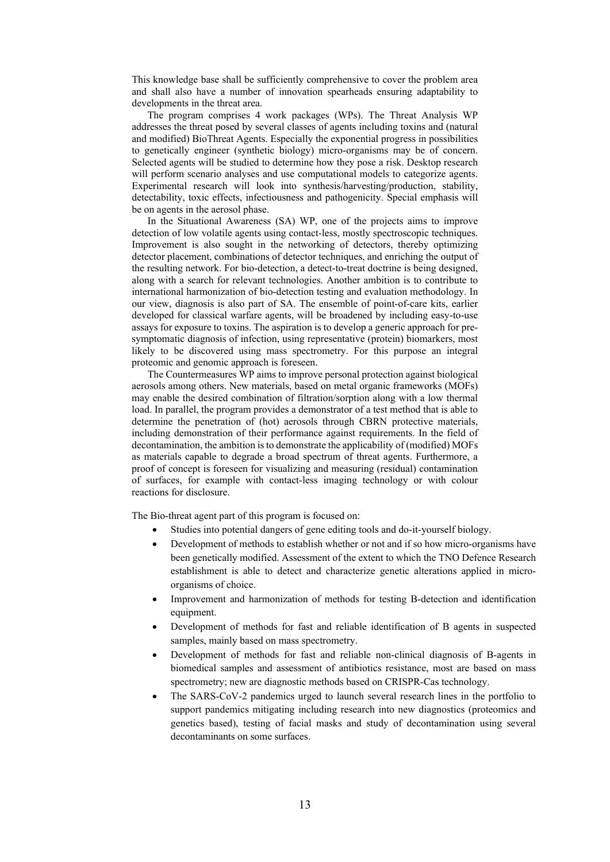This knowledge base shall be sufficiently comprehensive to cover the problem area and shall also have a number of innovation spearheads ensuring adaptability to developments in the threat area.

The program comprises 4 work packages (WPs). The Threat Analysis WP addresses the threat posed by several classes of agents including toxins and (natural and modified) BioThreat Agents. Especially the exponential progress in possibilities to genetically engineer (synthetic biology) micro-organisms may be of concern. Selected agents will be studied to determine how they pose a risk. Desktop research will perform scenario analyses and use computational models to categorize agents. Experimental research will look into synthesis/harvesting/production, stability, detectability, toxic effects, infectiousness and pathogenicity. Special emphasis will be on agents in the aerosol phase.

In the Situational Awareness (SA) WP, one of the projects aims to improve detection of low volatile agents using contact-less, mostly spectroscopic techniques. Improvement is also sought in the networking of detectors, thereby optimizing detector placement, combinations of detector techniques, and enriching the output of the resulting network. For bio-detection, a detect-to-treat doctrine is being designed, along with a search for relevant technologies. Another ambition is to contribute to international harmonization of bio-detection testing and evaluation methodology. In our view, diagnosis is also part of SA. The ensemble of point-of-care kits, earlier developed for classical warfare agents, will be broadened by including easy-to-use assays for exposure to toxins. The aspiration is to develop a generic approach for presymptomatic diagnosis of infection, using representative (protein) biomarkers, most likely to be discovered using mass spectrometry. For this purpose an integral proteomic and genomic approach is foreseen.

The Countermeasures WP aims to improve personal protection against biological aerosols among others. New materials, based on metal organic frameworks (MOFs) may enable the desired combination of filtration/sorption along with a low thermal load. In parallel, the program provides a demonstrator of a test method that is able to determine the penetration of (hot) aerosols through CBRN protective materials, including demonstration of their performance against requirements. In the field of decontamination, the ambition is to demonstrate the applicability of (modified) MOFs as materials capable to degrade a broad spectrum of threat agents. Furthermore, a proof of concept is foreseen for visualizing and measuring (residual) contamination of surfaces, for example with contact-less imaging technology or with colour reactions for disclosure.

The Bio-threat agent part of this program is focused on:

- Studies into potential dangers of gene editing tools and do-it-yourself biology.
- Development of methods to establish whether or not and if so how micro-organisms have been genetically modified. Assessment of the extent to which the TNO Defence Research establishment is able to detect and characterize genetic alterations applied in microorganisms of choice.
- Improvement and harmonization of methods for testing B-detection and identification equipment.
- Development of methods for fast and reliable identification of B agents in suspected samples, mainly based on mass spectrometry.
- Development of methods for fast and reliable non-clinical diagnosis of B-agents in biomedical samples and assessment of antibiotics resistance, most are based on mass spectrometry; new are diagnostic methods based on CRISPR-Cas technology.
- The SARS-CoV-2 pandemics urged to launch several research lines in the portfolio to support pandemics mitigating including research into new diagnostics (proteomics and genetics based), testing of facial masks and study of decontamination using several decontaminants on some surfaces.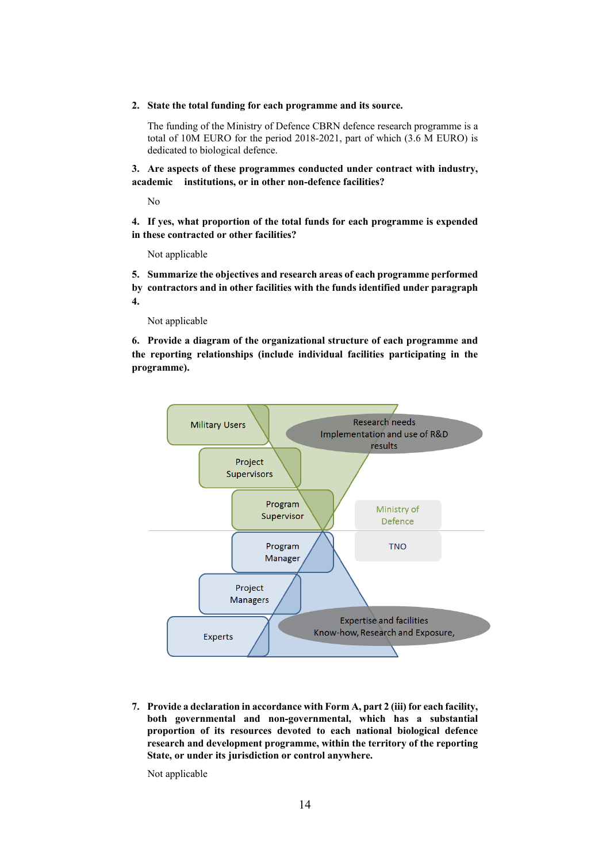**2. State the total funding for each programme and its source.**

The funding of the Ministry of Defence CBRN defence research programme is a total of 10M EURO for the period 2018-2021, part of which (3.6 M EURO) is dedicated to biological defence.

**3. Are aspects of these programmes conducted under contract with industry, academic institutions, or in other non-defence facilities?**

No

**4. If yes, what proportion of the total funds for each programme is expended in these contracted or other facilities?**

Not applicable

**5. Summarize the objectives and research areas of each programme performed by contractors and in other facilities with the funds identified under paragraph 4.**

Not applicable

**6. Provide a diagram of the organizational structure of each programme and the reporting relationships (include individual facilities participating in the programme).**



**7. Provide a declaration in accordance with Form A, part 2 (iii) for each facility, both governmental and non-governmental, which has a substantial proportion of its resources devoted to each national biological defence research and development programme, within the territory of the reporting State, or under its jurisdiction or control anywhere.**

Not applicable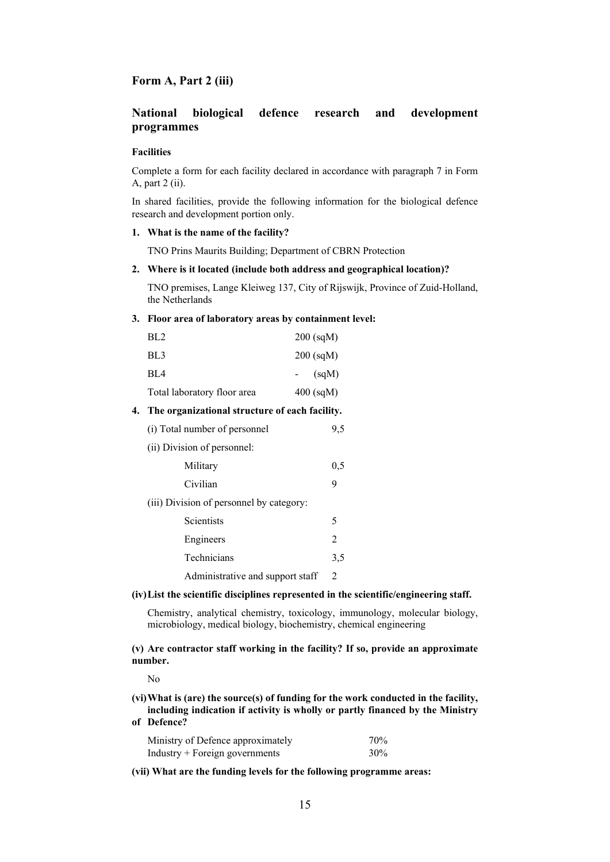### **Form A, Part 2 (iii)**

## **National biological defence research and development programmes**

### **Facilities**

Complete a form for each facility declared in accordance with paragraph 7 in Form A, part 2 (ii).

In shared facilities, provide the following information for the biological defence research and development portion only.

## **1. What is the name of the facility?**

TNO Prins Maurits Building; Department of CBRN Protection

#### **2. Where is it located (include both address and geographical location)?**

TNO premises, Lange Kleiweg 137, City of Rijswijk, Province of Zuid-Holland, the Netherlands

### **3. Floor area of laboratory areas by containment level:**

| BL <sub>2</sub>             | $200$ (sqM) |
|-----------------------------|-------------|
| BL <sub>3</sub>             | $200$ (sqM) |
| BL4                         | (sqM)       |
| Total laboratory floor area | $400$ (sqM) |

### **4. The organizational structure of each facility.**

| (i) Total number of personnel            | 9,5            |  |
|------------------------------------------|----------------|--|
| (ii) Division of personnel:              |                |  |
| Military                                 | 0,5            |  |
| Civilian                                 | 9              |  |
| (iii) Division of personnel by category: |                |  |
| <b>Scientists</b>                        | 5              |  |
| Engineers                                | $\mathfrak{D}$ |  |
| Technicians                              | 3.5            |  |
| Administrative and support staff         | $\mathfrak{D}$ |  |

#### **(iv)List the scientific disciplines represented in the scientific/engineering staff.**

Chemistry, analytical chemistry, toxicology, immunology, molecular biology, microbiology, medical biology, biochemistry, chemical engineering

**(v) Are contractor staff working in the facility? If so, provide an approximate number.**

 $N<sub>0</sub>$ 

**(vi)What is (are) the source(s) of funding for the work conducted in the facility, including indication if activity is wholly or partly financed by the Ministry of Defence?**

| Ministry of Defence approximately | 70% |
|-----------------------------------|-----|
| Industry + Foreign governments    | 30% |

**(vii) What are the funding levels for the following programme areas:**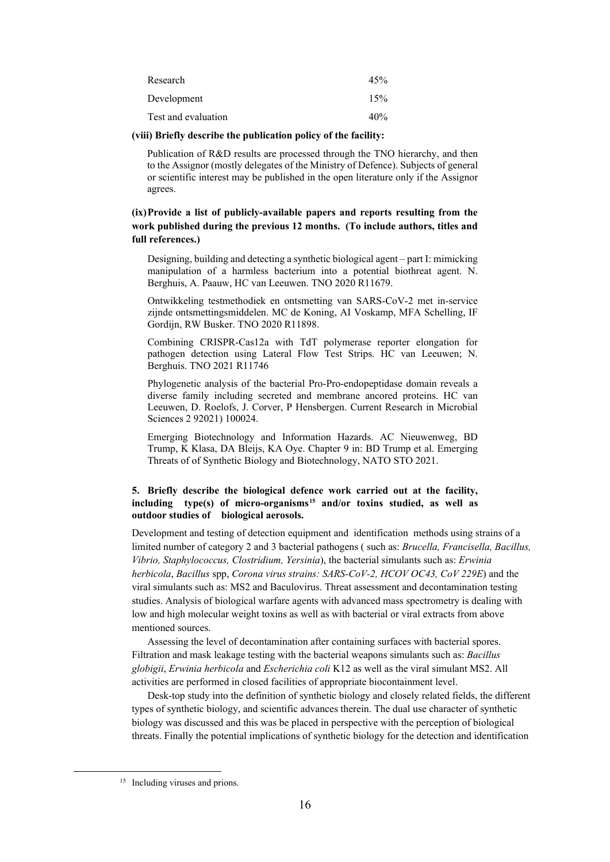| Research            | 45% |
|---------------------|-----|
| Development         | 15% |
| Test and evaluation | 40% |

#### **(viii) Briefly describe the publication policy of the facility:**

Publication of R&D results are processed through the TNO hierarchy, and then to the Assignor (mostly delegates of the Ministry of Defence). Subjects of general or scientific interest may be published in the open literature only if the Assignor agrees.

## **(ix)Provide a list of publicly-available papers and reports resulting from the work published during the previous 12 months. (To include authors, titles and full references.)**

Designing, building and detecting a synthetic biological agent – part I: mimicking manipulation of a harmless bacterium into a potential biothreat agent. N. Berghuis, A. Paauw, HC van Leeuwen. TNO 2020 R11679.

Ontwikkeling testmethodiek en ontsmetting van SARS-CoV-2 met in-service zijnde ontsmettingsmiddelen. MC de Koning, AI Voskamp, MFA Schelling, IF Gordijn, RW Busker. TNO 2020 R11898.

Combining CRISPR-Cas12a with TdT polymerase reporter elongation for pathogen detection using Lateral Flow Test Strips. HC van Leeuwen; N. Berghuis. TNO 2021 R11746

Phylogenetic analysis of the bacterial Pro-Pro-endopeptidase domain reveals a diverse family including secreted and membrane ancored proteins. HC van Leeuwen, D. Roelofs, J. Corver, P Hensbergen. Current Research in Microbial Sciences 2 92021) 100024.

Emerging Biotechnology and Information Hazards. AC Nieuwenweg, BD Trump, K Klasa, DA Bleijs, KA Oye. Chapter 9 in: BD Trump et al. Emerging Threats of of Synthetic Biology and Biotechnology, NATO STO 2021.

### **5. Briefly describe the biological defence work carried out at the facility, including type(s) of micro-organisms[15](#page-15-0) and/or toxins studied, as well as outdoor studies of biological aerosols.**

Development and testing of detection equipment and identification methods using strains of a limited number of category 2 and 3 bacterial pathogens ( such as: *Brucella, Francisella, Bacillus, Vibrio, Staphylococcus, Clostridium, Yersinia*), the bacterial simulants such as: *Erwinia herbicola*, *Bacillus* spp, *Corona virus strains: SARS-CoV-2, HCOV OC43, CoV 229E*) and the viral simulants such as: MS2 and Baculovirus. Threat assessment and decontamination testing studies. Analysis of biological warfare agents with advanced mass spectrometry is dealing with low and high molecular weight toxins as well as with bacterial or viral extracts from above mentioned sources.

Assessing the level of decontamination after containing surfaces with bacterial spores. Filtration and mask leakage testing with the bacterial weapons simulants such as: *Bacillus globigii*, *Erwinia herbicola* and *Escherichia coli* K12 as well as the viral simulant MS2. All activities are performed in closed facilities of appropriate biocontainment level.

Desk-top study into the definition of synthetic biology and closely related fields, the different types of synthetic biology, and scientific advances therein. The dual use character of synthetic biology was discussed and this was be placed in perspective with the perception of biological threats. Finally the potential implications of synthetic biology for the detection and identification

<span id="page-15-0"></span><sup>&</sup>lt;sup>15</sup> Including viruses and prions.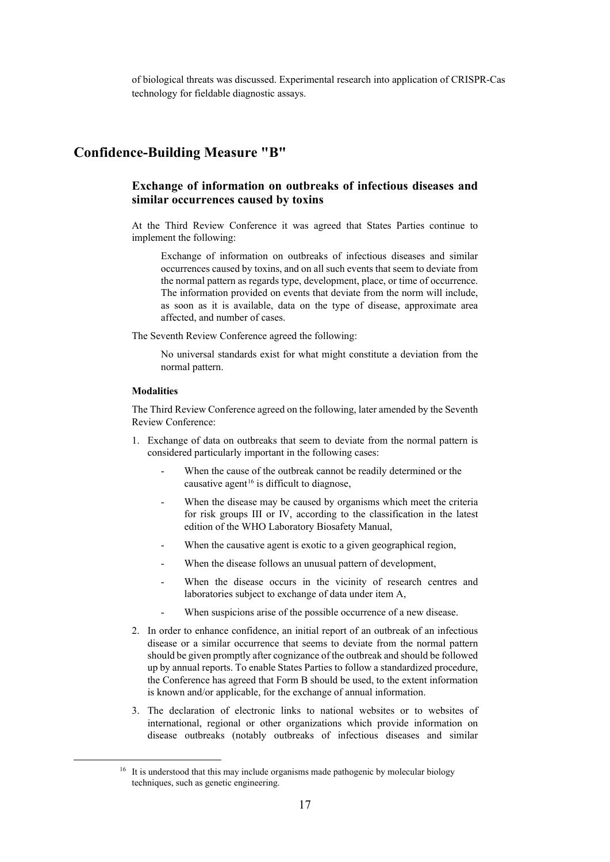of biological threats was discussed. Experimental research into application of CRISPR-Cas technology for fieldable diagnostic assays.

## **Confidence-Building Measure "B"**

## **Exchange of information on outbreaks of infectious diseases and similar occurrences caused by toxins**

At the Third Review Conference it was agreed that States Parties continue to implement the following:

Exchange of information on outbreaks of infectious diseases and similar occurrences caused by toxins, and on all such events that seem to deviate from the normal pattern as regards type, development, place, or time of occurrence. The information provided on events that deviate from the norm will include, as soon as it is available, data on the type of disease, approximate area affected, and number of cases.

The Seventh Review Conference agreed the following:

No universal standards exist for what might constitute a deviation from the normal pattern.

#### **Modalities**

The Third Review Conference agreed on the following, later amended by the Seventh Review Conference:

- 1. Exchange of data on outbreaks that seem to deviate from the normal pattern is considered particularly important in the following cases:
	- When the cause of the outbreak cannot be readily determined or the causative agent<sup>[16](#page-16-0)</sup> is difficult to diagnose,
	- When the disease may be caused by organisms which meet the criteria for risk groups III or IV, according to the classification in the latest edition of the WHO Laboratory Biosafety Manual,
	- When the causative agent is exotic to a given geographical region,
	- When the disease follows an unusual pattern of development,
	- When the disease occurs in the vicinity of research centres and laboratories subject to exchange of data under item A,
	- When suspicions arise of the possible occurrence of a new disease.
- 2. In order to enhance confidence, an initial report of an outbreak of an infectious disease or a similar occurrence that seems to deviate from the normal pattern should be given promptly after cognizance of the outbreak and should be followed up by annual reports. To enable States Parties to follow a standardized procedure, the Conference has agreed that Form B should be used, to the extent information is known and/or applicable, for the exchange of annual information.
- 3. The declaration of electronic links to national websites or to websites of international, regional or other organizations which provide information on disease outbreaks (notably outbreaks of infectious diseases and similar

<span id="page-16-0"></span><sup>&</sup>lt;sup>16</sup> It is understood that this may include organisms made pathogenic by molecular biology techniques, such as genetic engineering.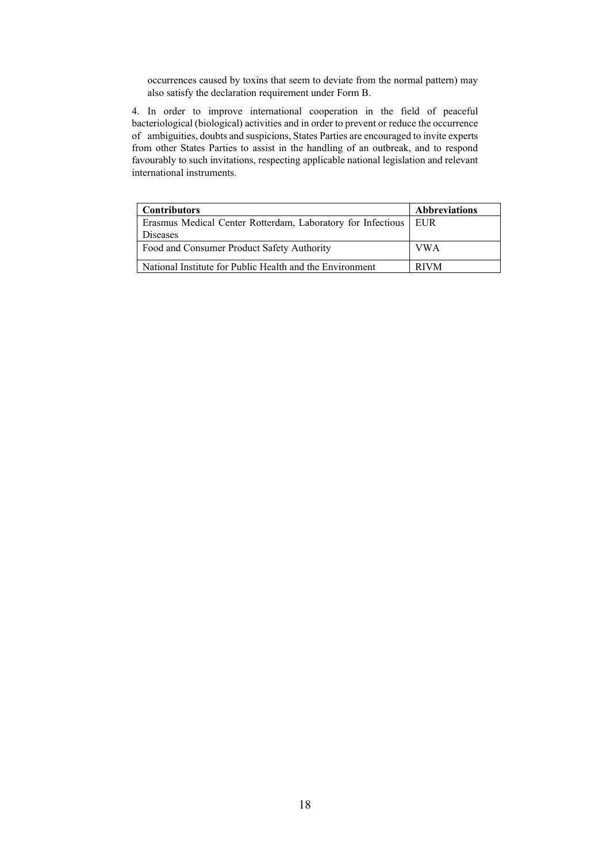occurrences caused by toxins that seem to deviate from the normal pattern) may also satisfy the declaration requirement under Form B.

4. In order to improve international cooperation in the field of peaceful bacteriological (biological) activities and in order to prevent or reduce the occurrence of ambiguities, doubts and suspicions, States Parties are encouraged to invite experts from other States Parties to assist in the handling of an outbreak, and to respond favourably to such invitations, respecting applicable national legislation and relevant international instruments.

| <b>Contributors</b>                                               | <b>Abbreviations</b> |
|-------------------------------------------------------------------|----------------------|
| Erasmus Medical Center Rotterdam, Laboratory for Infectious   EUR |                      |
| Diseases                                                          |                      |
| Food and Consumer Product Safety Authority                        | <b>VWA</b>           |
| National Institute for Public Health and the Environment          | <b>RIVM</b>          |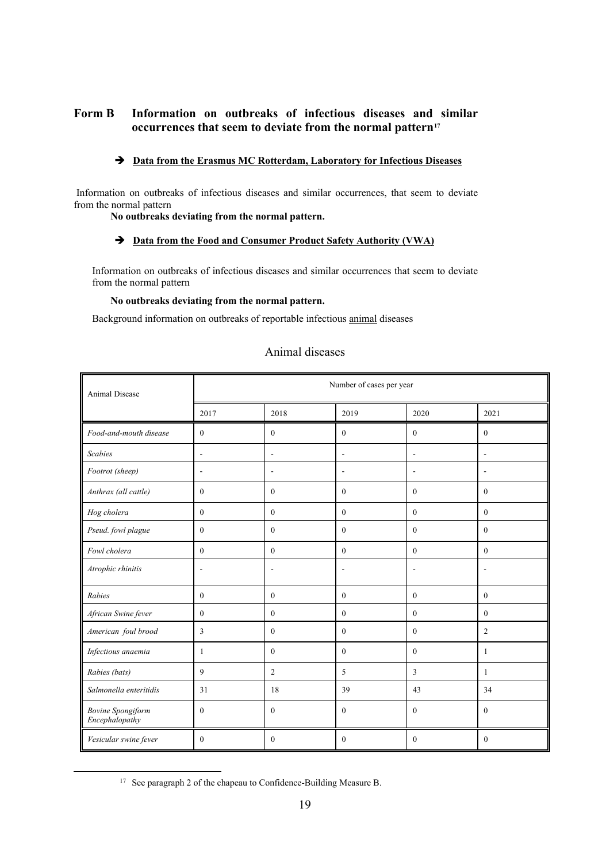## **Form B Information on outbreaks of infectious diseases and similar occurrences that seem to deviate from the normal pattern[17](#page-18-0)**

## **Data from the Erasmus MC Rotterdam, Laboratory for Infectious Diseases**

Information on outbreaks of infectious diseases and similar occurrences, that seem to deviate from the normal pattern

**No outbreaks deviating from the normal pattern.** 

### **Data from the Food and Consumer Product Safety Authority (VWA)**

Information on outbreaks of infectious diseases and similar occurrences that seem to deviate from the normal pattern

### **No outbreaks deviating from the normal pattern.**

Background information on outbreaks of reportable infectious animal diseases

| <b>Animal Disease</b>                      | Number of cases per year |                          |                |                  |                          |  |  |  |
|--------------------------------------------|--------------------------|--------------------------|----------------|------------------|--------------------------|--|--|--|
|                                            | 2017                     | 2018                     | 2019           | 2020             | 2021                     |  |  |  |
| Food-and-mouth disease                     | $\mathbf{0}$             | $\overline{0}$           | $\mathbf{0}$   | $\mathbf{0}$     | $\mathbf{0}$             |  |  |  |
| <b>Scabies</b>                             | $\overline{\phantom{a}}$ | $\blacksquare$           | $\sim$         | L,               | $\overline{\phantom{a}}$ |  |  |  |
| Footrot (sheep)                            | ä,                       | $\overline{a}$           |                |                  | $\overline{\phantom{a}}$ |  |  |  |
| Anthrax (all cattle)                       | $\overline{0}$           | $\overline{0}$           | $\mathbf{0}$   | $\mathbf{0}$     | $\mathbf{0}$             |  |  |  |
| Hog cholera                                | $\Omega$                 | $\mathbf{0}$             | $\mathbf{0}$   | $\mathbf{0}$     | $\theta$                 |  |  |  |
| Pseud. fowl plague                         | $\mathbf{0}$             | $\mathbf{0}$             | $\mathbf{0}$   | $\mathbf{0}$     | $\theta$                 |  |  |  |
| Fowl cholera                               | $\theta$                 | $\mathbf{0}$             | $\mathbf{0}$   | $\mathbf{0}$     | $\theta$                 |  |  |  |
| Atrophic rhinitis                          | ÷                        | $\overline{\phantom{a}}$ | L,             | $\overline{a}$   | $\overline{\phantom{a}}$ |  |  |  |
| Rabies                                     | $\mathbf{0}$             | $\mathbf{0}$             | $\mathbf{0}$   | $\boldsymbol{0}$ | $\mathbf{0}$             |  |  |  |
| African Swine fever                        | $\mathbf{0}$             | $\mathbf{0}$             | $\overline{0}$ | $\mathbf{0}$     | $\mathbf{0}$             |  |  |  |
| American foul brood                        | 3                        | $\theta$                 | $\theta$       | $\theta$         | $\overline{2}$           |  |  |  |
| Infectious anaemia                         | 1                        | $\mathbf{0}$             | $\mathbf{0}$   | $\mathbf{0}$     | $\mathbf{1}$             |  |  |  |
| Rabies (bats)                              | 9                        | $\overline{c}$           | 5              | 3                | $\mathbf{1}$             |  |  |  |
| Salmonella enteritidis                     | 31                       | 18                       | 39             | 43               | 34                       |  |  |  |
| <b>Bovine Spongiform</b><br>Encephalopathy | $\theta$                 | $\theta$                 | $\Omega$       | $\theta$         | $\theta$                 |  |  |  |
| Vesicular swine fever                      | $\mathbf{0}$             | $\mathbf{0}$             | $\mathbf{0}$   | $\mathbf{0}$     | $\mathbf{0}$             |  |  |  |

## Animal diseases

<span id="page-18-0"></span><sup>&</sup>lt;sup>17</sup> See paragraph 2 of the chapeau to Confidence-Building Measure B.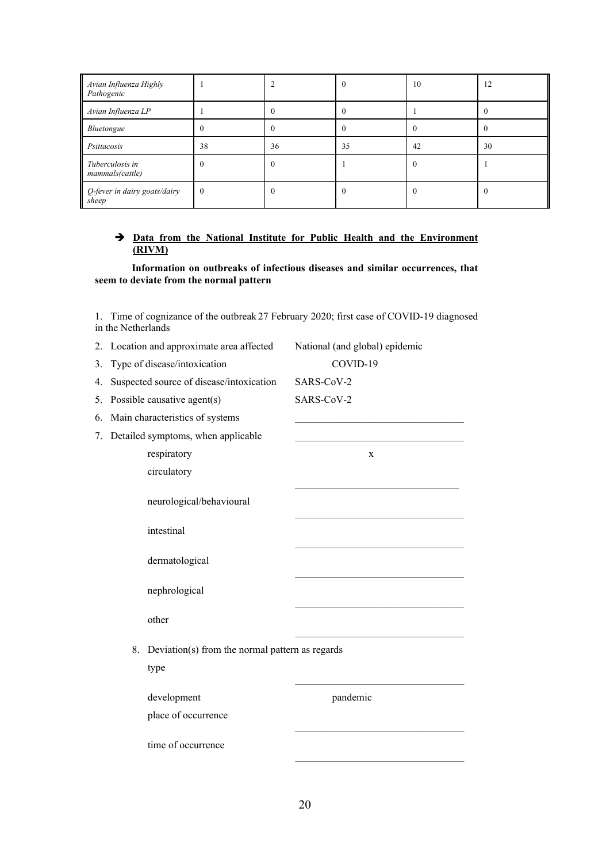| Avian Influenza Highly<br>Pathogenic  |              |          |    | 10       | 12 |
|---------------------------------------|--------------|----------|----|----------|----|
| Avian Influenza LP                    |              |          |    |          |    |
| Bluetongue                            | 0            | $\theta$ |    | $\Omega$ |    |
| Psittacosis                           | 38           | 36       | 35 | 42       | 30 |
| Tuberculosis in<br>mammals(cattle)    | $\Omega$     | $\Omega$ |    | $\Omega$ |    |
| Q-fever in dairy goats/dairy<br>sheep | $\mathbf{0}$ |          |    | $\theta$ |    |

## **Data from the National Institute for Public Health and the Environment (RIVM)**

**Information on outbreaks of infectious diseases and similar occurrences, that seem to deviate from the normal pattern** 

1. Time of cognizance of the outbreak 27 February 2020; first case of COVID-19 diagnosed in the Netherlands

|    | 2. Location and approximate area affected | National (and global) epidemic                  |   |
|----|-------------------------------------------|-------------------------------------------------|---|
| 3. | Type of disease/intoxication              | COVID-19                                        |   |
| 4. | Suspected source of disease/intoxication  | SARS-CoV-2                                      |   |
| 5. | Possible causative agent(s)               | SARS-CoV-2                                      |   |
| 6. | Main characteristics of systems           |                                                 |   |
| 7. | Detailed symptoms, when applicable        |                                                 |   |
|    | respiratory                               |                                                 | X |
|    | circulatory                               |                                                 |   |
|    | neurological/behavioural                  |                                                 |   |
|    | intestinal                                |                                                 |   |
|    | dermatological                            |                                                 |   |
|    | nephrological                             |                                                 |   |
|    | other                                     |                                                 |   |
|    | 8.<br>type                                | Deviation(s) from the normal pattern as regards |   |
|    | development<br>place of occurrence        | pandemic                                        |   |
|    | time of occurrence                        |                                                 |   |
|    |                                           |                                                 |   |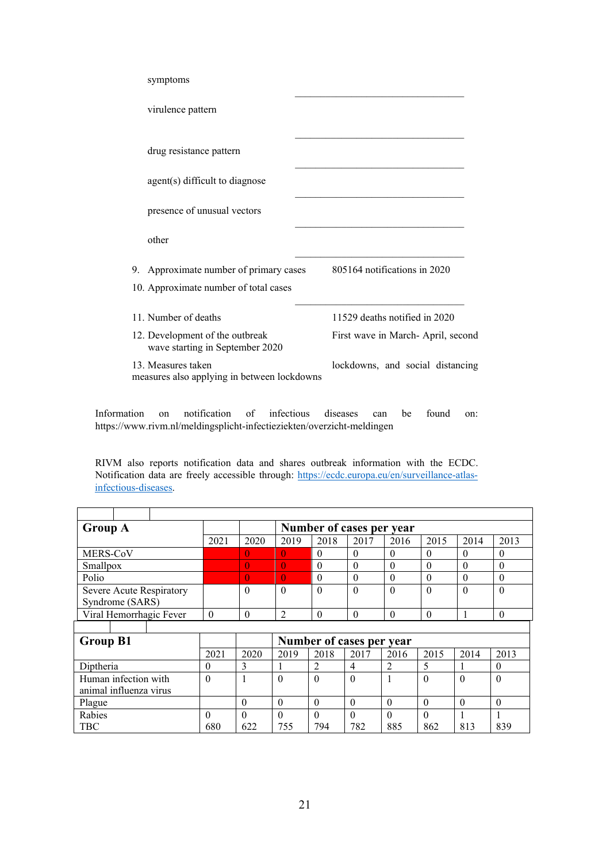| symptoms                                                                        |                                   |
|---------------------------------------------------------------------------------|-----------------------------------|
| virulence pattern                                                               |                                   |
| drug resistance pattern                                                         |                                   |
| agent(s) difficult to diagnose                                                  |                                   |
| presence of unusual vectors                                                     |                                   |
| other                                                                           |                                   |
| 9. Approximate number of primary cases<br>10. Approximate number of total cases | 805164 notifications in 2020      |
| 11. Number of deaths                                                            | 11529 deaths notified in 2020     |
| 12. Development of the outbreak<br>wave starting in September 2020              | First wave in March-April, second |
| 13. Measures taken<br>measures also applying in between lockdowns               | lockdowns, and social distancing  |

Information on notification of infectious diseases can be found on: https://www.rivm.nl/meldingsplicht-infectieziekten/overzicht-meldingen

RIVM also reports notification data and shares outbreak information with the ECDC. Notification data are freely accessible through: [https://ecdc.europa.eu/en/surveillance-atlas](https://ecdc.europa.eu/en/surveillance-atlas-infectious-diseases)[infectious-diseases.](https://ecdc.europa.eu/en/surveillance-atlas-infectious-diseases)

| <b>Group A</b>                              |      | Number of cases per year |                |          |          |      |          |        |          |
|---------------------------------------------|------|--------------------------|----------------|----------|----------|------|----------|--------|----------|
|                                             | 2021 | 2020                     | 2019           | 2018     | 2017     | 2016 | 2015     | 2014   | 2013     |
| MERS-CoV                                    |      |                          | 0              | 0        |          |      |          |        | $_{0}$   |
| Smallpox                                    |      | $\overline{0}$           | $\overline{0}$ | 0        |          |      |          |        |          |
| Polio                                       |      | $\overline{0}$           | $\theta$       | 0        |          |      |          |        |          |
| Severe Acute Respiratory<br>Syndrome (SARS) |      | 0                        | $\theta$       | $\Omega$ | $\theta$ | 0    | $\theta$ | $_{0}$ | $\theta$ |
| Viral Hemorrhagic Fever                     | 0    |                          |                |          |          |      |          |        |          |

| <b>Group B1</b>        |      |      | Number of cases per year |      |      |      |      |      |      |
|------------------------|------|------|--------------------------|------|------|------|------|------|------|
|                        | 2021 | 2020 | 2019                     | 2018 | 2017 | 2016 | 2015 | 2014 | 2013 |
| Diptheria              |      |      |                          |      |      |      |      |      | U    |
| Human infection with   |      |      |                          | 0    |      |      | U    | U    | 0    |
| animal influenza virus |      |      |                          |      |      |      |      |      |      |
| Plague                 |      |      |                          |      |      |      |      |      |      |
| Rabies                 |      |      |                          |      |      |      |      |      |      |
| <b>TBC</b>             | 680  | 622  | 755                      | 794  | 782  | 885  | 862  | 813  | 839  |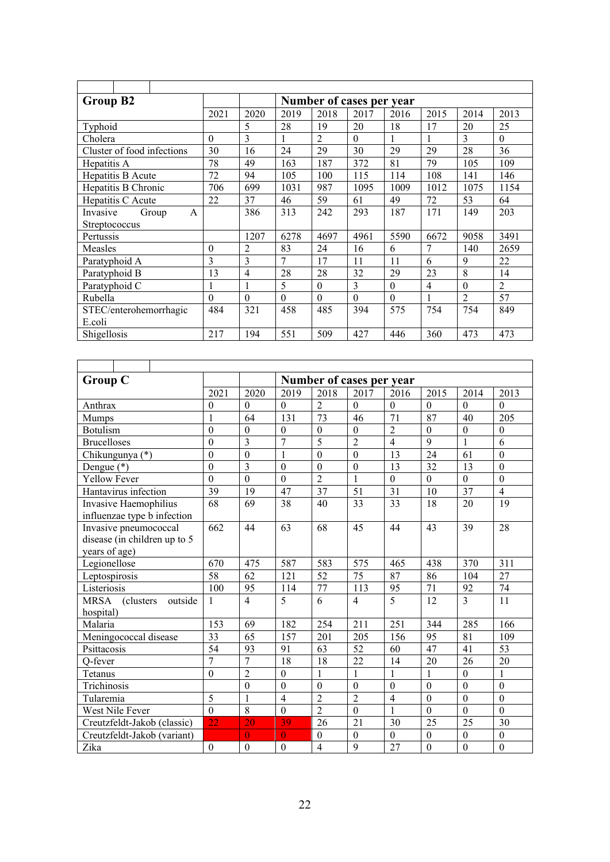| Group B2                   |          | Number of cases per year |          |                |          |          |                |                |                |
|----------------------------|----------|--------------------------|----------|----------------|----------|----------|----------------|----------------|----------------|
|                            | 2021     | 2020                     | 2019     | 2018           | 2017     | 2016     | 2015           | 2014           | 2013           |
| Typhoid                    |          | 5                        | 28       | 19             | 20       | 18       | 17             | 20             | 25             |
| Cholera                    | $\theta$ | 3                        |          | $\overline{2}$ | $\theta$ | 1        | 1              | 3              | $\theta$       |
| Cluster of food infections | 30       | 16                       | 24       | 29             | 30       | 29       | 29             | 28             | 36             |
| Hepatitis A                | 78       | 49                       | 163      | 187            | 372      | 81       | 79             | 105            | 109            |
| Hepatitis B Acute          | 72       | 94                       | 105      | 100            | 115      | 114      | 108            | 141            | 146            |
| Hepatitis B Chronic        | 706      | 699                      | 1031     | 987            | 1095     | 1009     | 1012           | 1075           | 1154           |
| Hepatitis C Acute          | 22       | 37                       | 46       | 59             | 61       | 49       | 72             | 53             | 64             |
| Group<br>Invasive<br>A     |          | 386                      | 313      | 242            | 293      | 187      | 171            | 149            | 203            |
| Streptococcus              |          |                          |          |                |          |          |                |                |                |
| Pertussis                  |          | 1207                     | 6278     | 4697           | 4961     | 5590     | 6672           | 9058           | 3491           |
| Measles                    | $\theta$ | $\overline{2}$           | 83       | 24             | 16       | 6        | 7              | 140            | 2659           |
| Paratyphoid A              | 3        | 3                        | 7        | 17             | 11       | 11       | 6              | 9              | 22             |
| Paratyphoid B              | 13       | $\overline{4}$           | 28       | 28             | 32       | 29       | 23             | 8              | 14             |
| Paratyphoid C              |          |                          | 5        | $\Omega$       | 3        | $\Omega$ | $\overline{4}$ | $\Omega$       | $\overline{2}$ |
| Rubella                    | $\theta$ | $\theta$                 | $\Omega$ | $\theta$       | $\theta$ | $\theta$ | 1              | $\overline{2}$ | 57             |
| STEC/enterohemorrhagic     | 484      | 321                      | 458      | 485            | 394      | 575      | 754            | 754            | 849            |
| E.coli                     |          |                          |          |                |          |          |                |                |                |
| Shigellosis                | 217      | 194                      | 551      | 509            | 427      | 446      | 360            | 473            | 473            |

| <b>Group C</b>                       |                  |                  |                  |                  | Number of cases per year |                |                  |                  |                  |
|--------------------------------------|------------------|------------------|------------------|------------------|--------------------------|----------------|------------------|------------------|------------------|
|                                      | 2021             | 2020             | 2019             | 2018             | 2017                     | 2016           | 2015             | 2014             | 2013             |
| Anthrax                              | $\boldsymbol{0}$ | $\mathbf{0}$     | $\Omega$         | $\overline{2}$   | $\theta$                 | $\Omega$       | $\Omega$         | $\Omega$         | $\theta$         |
| <b>Mumps</b>                         | $\mathbf{1}$     | 64               | 131              | 73               | 46                       | 71             | 87               | 40               | 205              |
| <b>Botulism</b>                      | $\mathbf{0}$     | $\boldsymbol{0}$ | $\boldsymbol{0}$ | $\boldsymbol{0}$ | $\theta$                 | $\overline{c}$ | $\boldsymbol{0}$ | $\boldsymbol{0}$ | $\theta$         |
| <b>Brucelloses</b>                   | $\overline{0}$   | $\overline{3}$   | $\overline{7}$   | 5                | $\overline{2}$           | $\overline{4}$ | 9                | $\mathbf{1}$     | 6                |
| Chikungunya (*)                      | $\mathbf{0}$     | $\boldsymbol{0}$ | $\mathbf{1}$     | $\mathbf{0}$     | $\overline{0}$           | 13             | 24               | 61               | $\boldsymbol{0}$ |
| Dengue $(*)$                         | $\overline{0}$   | $\overline{3}$   | $\theta$         | $\mathbf{0}$     | $\boldsymbol{0}$         | 13             | 32               | 13               | $\mathbf{0}$     |
| <b>Yellow Fever</b>                  | $\overline{0}$   | $\overline{0}$   | $\mathbf{0}$     | $\overline{2}$   | 1                        | $\overline{0}$ | $\mathbf{0}$     | $\mathbf{0}$     | $\boldsymbol{0}$ |
| Hantavirus infection                 | 39               | 19               | 47               | 37               | 51                       | 31             | 10               | 37               | $\overline{4}$   |
| Invasive Haemophilius                | 68               | 69               | 38               | 40               | 33                       | 33             | 18               | 20               | 19               |
| influenzae type b infection          |                  |                  |                  |                  |                          |                |                  |                  |                  |
| Invasive pneumococcal                | 662              | 44               | 63               | 68               | 45                       | 44             | 43               | 39               | 28               |
| disease (in children up to 5         |                  |                  |                  |                  |                          |                |                  |                  |                  |
| years of age)                        |                  |                  |                  |                  |                          |                |                  |                  |                  |
| Legionellose                         | 670              | 475              | 587              | 583              | 575                      | 465            | 438              | 370              | 311              |
| Leptospirosis                        | 58               | 62               | 121              | 52               | 75                       | 87             | 86               | 104              | 27               |
| Listeriosis                          | 100              | 95               | 114              | 77               | 113                      | 95             | 71               | 92               | 74               |
| <b>MRSA</b><br>outside<br>(clusters) | 1                | $\overline{4}$   | 5                | 6                | $\overline{4}$           | $\overline{5}$ | 12               | $\overline{3}$   | 11               |
| hospital)                            |                  |                  |                  |                  |                          |                |                  |                  |                  |
| Malaria                              | 153              | 69               | 182              | 254              | 211                      | 251            | 344              | 285              | 166              |
| Meningococcal disease                | 33               | 65               | 157              | 201              | 205                      | 156            | 95               | 81               | 109              |
| Psittacosis                          | $\overline{54}$  | 93               | 91               | 63               | 52                       | 60             | 47               | 41               | 53               |
| Q-fever                              | 7                | 7                | 18               | 18               | 22                       | 14             | 20               | 26               | 20               |
| Tetanus                              | $\overline{0}$   | $\overline{2}$   | $\boldsymbol{0}$ | $\mathbf{1}$     | $\mathbf{1}$             | $\mathbf{1}$   | $\mathbf{1}$     | $\overline{0}$   | $\mathbf{1}$     |
| Trichinosis                          |                  | $\overline{0}$   | $\mathbf{0}$     | $\overline{0}$   | $\mathbf{0}$             | $\mathbf{0}$   | $\mathbf{0}$     | $\mathbf{0}$     | $\overline{0}$   |
| Tularemia                            | $\overline{5}$   | $\mathbf{1}$     | $\overline{4}$   | $\overline{2}$   | $\overline{2}$           | $\overline{4}$ | $\boldsymbol{0}$ | $\boldsymbol{0}$ | $\boldsymbol{0}$ |
| West Nile Fever                      | $\overline{0}$   | $\overline{8}$   | $\mathbf{0}$     | $\overline{2}$   | $\theta$                 | 1              | $\Omega$         | $\theta$         | $\theta$         |
| Creutzfeldt-Jakob (classic)          | 22               | 20               | 39               | 26               | 21                       | 30             | 25               | 25               | 30               |
| Creutzfeldt-Jakob (variant)          |                  | $\theta$         | $\theta$         | $\boldsymbol{0}$ | $\theta$                 | $\theta$       | $\mathbf{0}$     | $\theta$         | $\boldsymbol{0}$ |
| Zika                                 | $\boldsymbol{0}$ | $\boldsymbol{0}$ | $\boldsymbol{0}$ | $\overline{4}$   | 9                        | 27             | $\theta$         | $\mathbf{0}$     | $\mathbf{0}$     |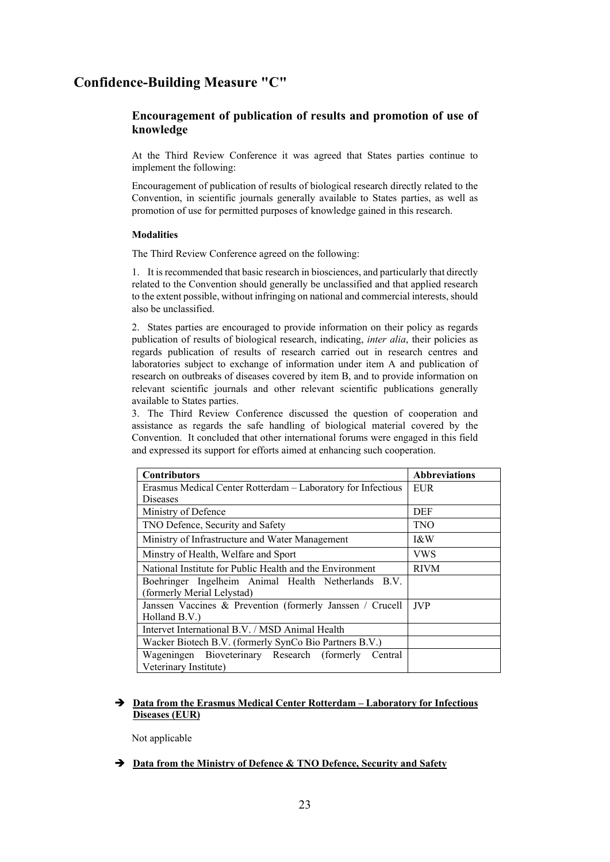## **Confidence-Building Measure "C"**

## **Encouragement of publication of results and promotion of use of knowledge**

At the Third Review Conference it was agreed that States parties continue to implement the following:

Encouragement of publication of results of biological research directly related to the Convention, in scientific journals generally available to States parties, as well as promotion of use for permitted purposes of knowledge gained in this research.

### **Modalities**

The Third Review Conference agreed on the following:

1. It is recommended that basic research in biosciences, and particularly that directly related to the Convention should generally be unclassified and that applied research to the extent possible, without infringing on national and commercial interests, should also be unclassified.

2. States parties are encouraged to provide information on their policy as regards publication of results of biological research, indicating, *inter alia*, their policies as regards publication of results of research carried out in research centres and laboratories subject to exchange of information under item A and publication of research on outbreaks of diseases covered by item B, and to provide information on relevant scientific journals and other relevant scientific publications generally available to States parties.

3. The Third Review Conference discussed the question of cooperation and assistance as regards the safe handling of biological material covered by the Convention. It concluded that other international forums were engaged in this field and expressed its support for efforts aimed at enhancing such cooperation.

| <b>Contributors</b>                                          | <b>Abbreviations</b> |
|--------------------------------------------------------------|----------------------|
| Erasmus Medical Center Rotterdam – Laboratory for Infectious | EUR                  |
| Diseases                                                     |                      |
| Ministry of Defence                                          | DEF                  |
| TNO Defence, Security and Safety                             | <b>TNO</b>           |
| Ministry of Infrastructure and Water Management              | I&W                  |
| Minstry of Health, Welfare and Sport                         | VWS                  |
| National Institute for Public Health and the Environment     | <b>RIVM</b>          |
| Boehringer Ingelheim Animal Health Netherlands B.V.          |                      |
| (formerly Merial Lelystad)                                   |                      |
| Janssen Vaccines & Prevention (formerly Janssen / Crucell    | <b>JVP</b>           |
| Holland B.V.)                                                |                      |
| Intervet International B.V. / MSD Animal Health              |                      |
| Wacker Biotech B.V. (formerly SynCo Bio Partners B.V.)       |                      |
| Wageningen Bioveterinary Research (formerly<br>Central       |                      |
| Veterinary Institute)                                        |                      |

### **Data from the Erasmus Medical Center Rotterdam – Laboratory for Infectious Diseases (EUR)**

Not applicable

 $\rightarrow$  Data from the Ministry of Defence & TNO Defence, Security and Safety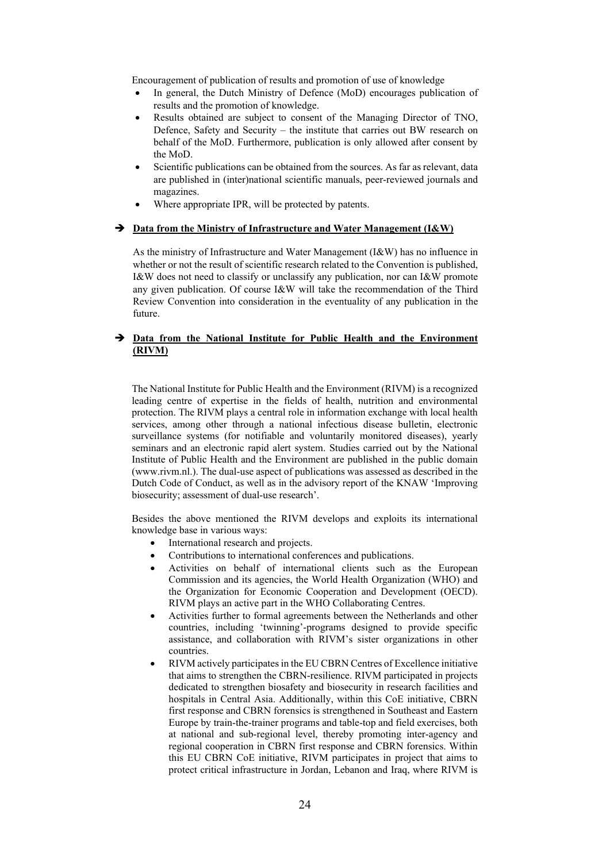Encouragement of publication of results and promotion of use of knowledge

- In general, the Dutch Ministry of Defence (MoD) encourages publication of results and the promotion of knowledge.
- Results obtained are subject to consent of the Managing Director of TNO, Defence, Safety and Security – the institute that carries out BW research on behalf of the MoD. Furthermore, publication is only allowed after consent by the MoD.
- Scientific publications can be obtained from the sources. As far as relevant, data are published in (inter)national scientific manuals, peer-reviewed journals and magazines.
- Where appropriate IPR, will be protected by patents.

### → <u>Data from the Ministry of Infrastructure and Water Management (I&W)</u>

As the ministry of Infrastructure and Water Management (I&W) has no influence in whether or not the result of scientific research related to the Convention is published, I&W does not need to classify or unclassify any publication, nor can I&W promote any given publication. Of course I&W will take the recommendation of the Third Review Convention into consideration in the eventuality of any publication in the future.

### **Data from the National Institute for Public Health and the Environment (RIVM)**

The National Institute for Public Health and the Environment (RIVM) is a recognized leading centre of expertise in the fields of health, nutrition and environmental protection. The RIVM plays a central role in information exchange with local health services, among other through a national infectious disease bulletin, electronic surveillance systems (for notifiable and voluntarily monitored diseases), yearly seminars and an electronic rapid alert system. Studies carried out by the National Institute of Public Health and the Environment are published in the public domain (www.rivm.nl.). The dual-use aspect of publications was assessed as described in the Dutch Code of Conduct, as well as in the advisory report of the KNAW 'Improving biosecurity; assessment of dual-use research'.

Besides the above mentioned the RIVM develops and exploits its international knowledge base in various ways:

- International research and projects.
- Contributions to international conferences and publications.
- Activities on behalf of international clients such as the European Commission and its agencies, the World Health Organization (WHO) and the Organization for Economic Cooperation and Development (OECD). RIVM plays an active part in the WHO Collaborating Centres.
- Activities further to formal agreements between the Netherlands and other countries, including 'twinning'-programs designed to provide specific assistance, and collaboration with RIVM's sister organizations in other countries.
- RIVM actively participates in the EU CBRN Centres of Excellence initiative that aims to strengthen the CBRN-resilience. RIVM participated in projects dedicated to strengthen biosafety and biosecurity in research facilities and hospitals in Central Asia. Additionally, within this CoE initiative, CBRN first response and CBRN forensics is strengthened in Southeast and Eastern Europe by train-the-trainer programs and table-top and field exercises, both at national and sub-regional level, thereby promoting inter-agency and regional cooperation in CBRN first response and CBRN forensics. Within this EU CBRN CoE initiative, RIVM participates in project that aims to protect critical infrastructure in Jordan, Lebanon and Iraq, where RIVM is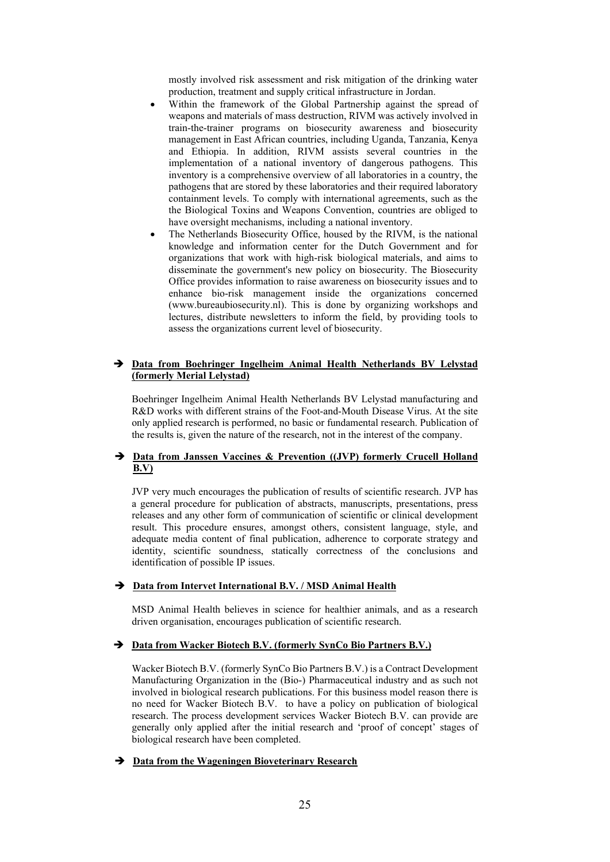mostly involved risk assessment and risk mitigation of the drinking water production, treatment and supply critical infrastructure in Jordan.

- Within the framework of the Global Partnership against the spread of weapons and materials of mass destruction, RIVM was actively involved in train-the-trainer programs on biosecurity awareness and biosecurity management in East African countries, including Uganda, Tanzania, Kenya and Ethiopia. In addition, RIVM assists several countries in the implementation of a national inventory of dangerous pathogens. This inventory is a comprehensive overview of all laboratories in a country, the pathogens that are stored by these laboratories and their required laboratory containment levels. To comply with international agreements, such as the the Biological Toxins and Weapons Convention, countries are obliged to have oversight mechanisms, including a national inventory.
- The Netherlands Biosecurity Office, housed by the RIVM, is the national knowledge and information center for the Dutch Government and for organizations that work with high-risk biological materials, and aims to disseminate the government's new policy on biosecurity. The Biosecurity Office provides information to raise awareness on biosecurity issues and to enhance bio-risk management inside the organizations concerned (www.bureaubiosecurity.nl). This is done by organizing workshops and lectures, distribute newsletters to inform the field, by providing tools to assess the organizations current level of biosecurity.

### **Data from Boehringer Ingelheim Animal Health Netherlands BV Lelystad (formerly Merial Lelystad)**

Boehringer Ingelheim Animal Health Netherlands BV Lelystad manufacturing and R&D works with different strains of the Foot-and-Mouth Disease Virus. At the site only applied research is performed, no basic or fundamental research. Publication of the results is, given the nature of the research, not in the interest of the company.

### **Data from Janssen Vaccines & Prevention ((JVP) formerly Crucell Holland B.V)**

JVP very much encourages the publication of results of scientific research. JVP has a general procedure for publication of abstracts, manuscripts, presentations, press releases and any other form of communication of scientific or clinical development result. This procedure ensures, amongst others, consistent language, style, and adequate media content of final publication, adherence to corporate strategy and identity, scientific soundness, statically correctness of the conclusions and identification of possible IP issues.

### **Data from Intervet International B.V. / MSD Animal Health**

MSD Animal Health believes in science for healthier animals, and as a research driven organisation, encourages publication of scientific research.

### **Data from Wacker Biotech B.V. (formerly SynCo Bio Partners B.V.)**

Wacker Biotech B.V. (formerly SynCo Bio Partners B.V.) is a Contract Development Manufacturing Organization in the (Bio-) Pharmaceutical industry and as such not involved in biological research publications. For this business model reason there is no need for Wacker Biotech B.V. to have a policy on publication of biological research. The process development services Wacker Biotech B.V. can provide are generally only applied after the initial research and 'proof of concept' stages of biological research have been completed.

#### **Data from the Wageningen Bioveterinary Research**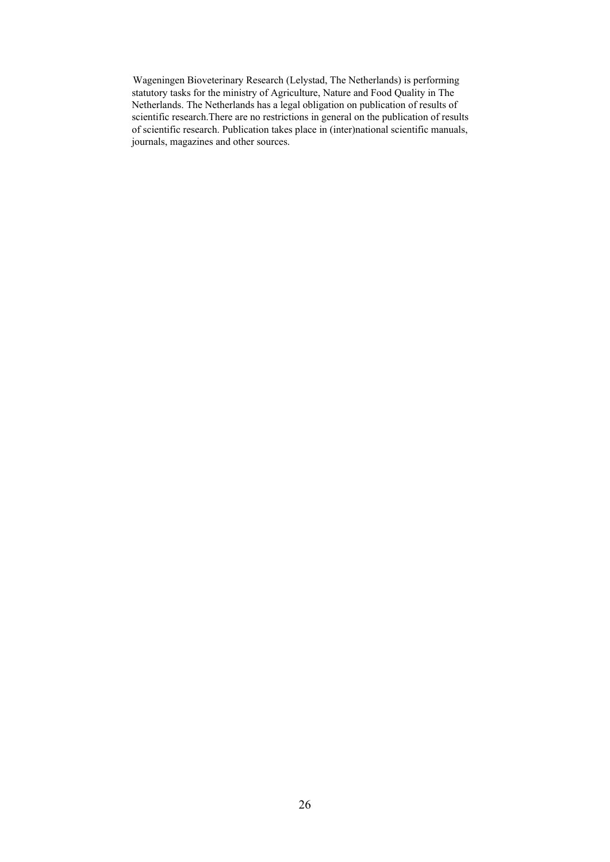Wageningen Bioveterinary Research (Lelystad, The Netherlands) is performing statutory tasks for the ministry of Agriculture, Nature and Food Quality in The Netherlands. The Netherlands has a legal obligation on publication of results of scientific research.There are no restrictions in general on the publication of results of scientific research. Publication takes place in (inter)national scientific manuals, journals, magazines and other sources.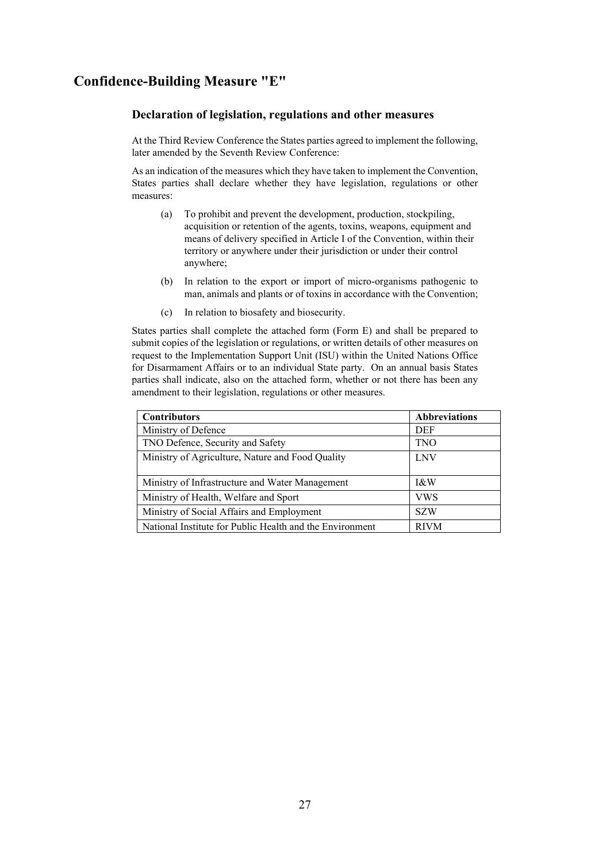## **Confidence-Building Measure "E"**

### **Declaration of legislation, regulations and other measures**

At the Third Review Conference the States parties agreed to implement the following, later amended by the Seventh Review Conference:

As an indication of the measures which they have taken to implement the Convention, States parties shall declare whether they have legislation, regulations or other measures:

- (a) To prohibit and prevent the development, production, stockpiling, acquisition or retention of the agents, toxins, weapons, equipment and means of delivery specified in Article I of the Convention, within their territory or anywhere under their jurisdiction or under their control anywhere;
- (b) In relation to the export or import of micro-organisms pathogenic to man, animals and plants or of toxins in accordance with the Convention;
- (c) In relation to biosafety and biosecurity.

States parties shall complete the attached form (Form E) and shall be prepared to submit copies of the legislation or regulations, or written details of other measures on request to the Implementation Support Unit (ISU) within the United Nations Office for Disarmament Affairs or to an individual State party. On an annual basis States parties shall indicate, also on the attached form, whether or not there has been any amendment to their legislation, regulations or other measures.

| <b>Contributors</b>                                      | <b>Abbreviations</b> |
|----------------------------------------------------------|----------------------|
| Ministry of Defence                                      | <b>DEF</b>           |
| TNO Defence, Security and Safety                         | <b>TNO</b>           |
| Ministry of Agriculture, Nature and Food Quality         | <b>LNV</b>           |
|                                                          |                      |
| Ministry of Infrastructure and Water Management          | I&W                  |
| Ministry of Health, Welfare and Sport                    | <b>VWS</b>           |
| Ministry of Social Affairs and Employment                | <b>SZW</b>           |
| National Institute for Public Health and the Environment | <b>RIVM</b>          |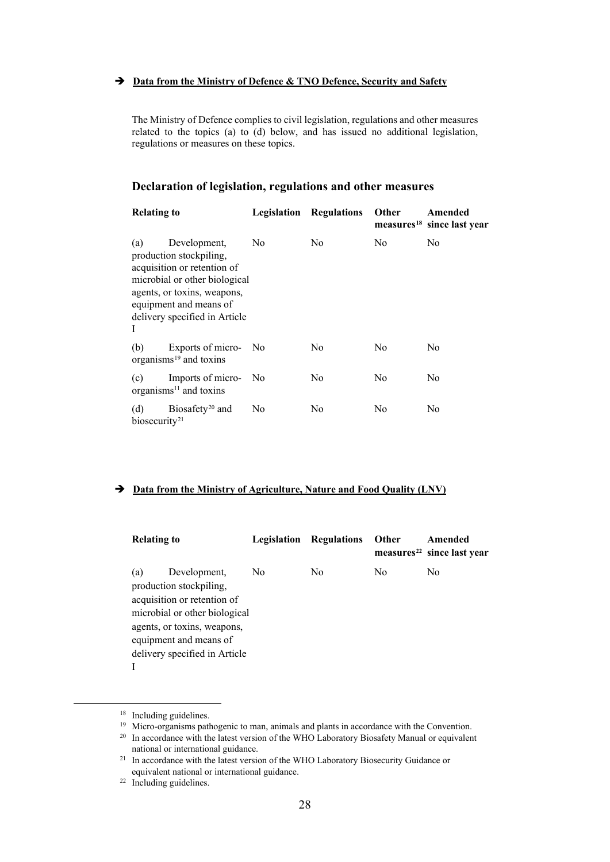### $\rightarrow$  Data from the Ministry of Defence & TNO Defence, Security and Safety

The Ministry of Defence complies to civil legislation, regulations and other measures related to the topics (a) to (d) below, and has issued no additional legislation, regulations or measures on these topics.

## **Declaration of legislation, regulations and other measures**

| <b>Relating to</b>               |                                                                                                                                                                                                   | Legislation    | Regulations | <b>Other</b>   | Amended<br>measures <sup>18</sup> since last year |
|----------------------------------|---------------------------------------------------------------------------------------------------------------------------------------------------------------------------------------------------|----------------|-------------|----------------|---------------------------------------------------|
| (a)<br>I                         | Development,<br>production stockpiling,<br>acquisition or retention of<br>microbial or other biological<br>agents, or toxins, weapons,<br>equipment and means of<br>delivery specified in Article | No.            | No.         | No.            | No                                                |
| (b)                              | Exports of micro- No<br>organisms $19$ and toxins                                                                                                                                                 |                | No          | N <sub>0</sub> | No                                                |
| (c)                              | Imports of micro-<br>organisms <sup>11</sup> and toxins                                                                                                                                           | N <sub>0</sub> | No          | No             | No                                                |
| (d)<br>biosecurity <sup>21</sup> | Biosafety <sup>20</sup> and                                                                                                                                                                       | No             | No          | No             | No                                                |

## **Data from the Ministry of Agriculture, Nature and Food Quality (LNV)**

| <b>Relating to</b> |                                                                                                                                                                                                   | Legislation | Regulations    | Other | Amended<br>measures <sup>22</sup> since last year |
|--------------------|---------------------------------------------------------------------------------------------------------------------------------------------------------------------------------------------------|-------------|----------------|-------|---------------------------------------------------|
| (a)                | Development,<br>production stockpiling,<br>acquisition or retention of<br>microbial or other biological<br>agents, or toxins, weapons,<br>equipment and means of<br>delivery specified in Article | No          | N <sub>0</sub> | No    | No.                                               |

<span id="page-27-0"></span><sup>&</sup>lt;sup>18</sup> Including guidelines.<br><sup>19</sup> Micro-organisms pathogenic to man, animals and plants in accordance with the Convention.

<span id="page-27-2"></span><span id="page-27-1"></span><sup>&</sup>lt;sup>20</sup> In accordance with the latest version of the WHO Laboratory Biosafety Manual or equivalent

<span id="page-27-3"></span>national or international guidance.<br><sup>21</sup> In accordance with the latest version of the WHO Laboratory Biosecurity Guidance or equivalent national or international guidance.<br><sup>22</sup> Including guidelines.

<span id="page-27-4"></span>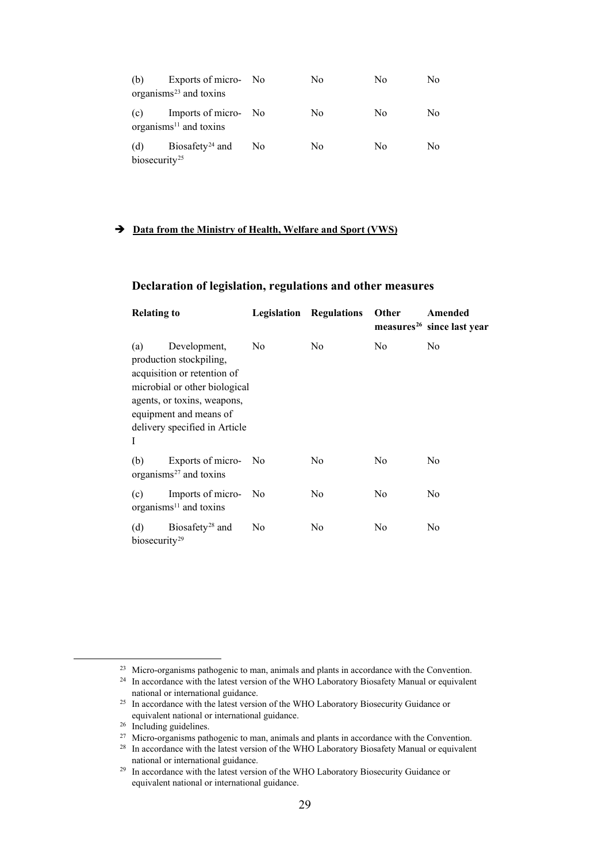| (b)                              | Exports of micro- No<br>organisms $^{23}$ and toxins |                | No  | No. | No |
|----------------------------------|------------------------------------------------------|----------------|-----|-----|----|
| (c)                              | Imports of micro- No<br>organisms $11$ and toxins    |                | No. | No. | No |
| (d)<br>biosecurity <sup>25</sup> | Biosafety <sup>24</sup> and                          | N <sub>o</sub> | No. | No  | No |

## **Data from the Ministry of Health, Welfare and Sport (VWS)**

## **Declaration of legislation, regulations and other measures**

| <b>Relating to</b>               |                                                                                                                                                                                                   |                | <b>Legislation Regulations</b> | <b>Other</b>   | Amended<br>measures <sup>26</sup> since last year |
|----------------------------------|---------------------------------------------------------------------------------------------------------------------------------------------------------------------------------------------------|----------------|--------------------------------|----------------|---------------------------------------------------|
| (a)<br>I                         | Development,<br>production stockpiling,<br>acquisition or retention of<br>microbial or other biological<br>agents, or toxins, weapons,<br>equipment and means of<br>delivery specified in Article | N <sub>o</sub> | N <sub>0</sub>                 | N <sub>0</sub> | No                                                |
| (b)                              | Exports of micro- No<br>organisms <sup>27</sup> and toxins                                                                                                                                        |                | No.                            | N <sub>0</sub> | No                                                |
| (c)                              | Imports of micro-<br>organisms <sup>11</sup> and toxins                                                                                                                                           | N <sub>o</sub> | N <sub>0</sub>                 | No             | No                                                |
| (d)<br>biosecurity <sup>29</sup> | Biosafety <sup>28</sup> and                                                                                                                                                                       | No             | No                             | No             | No                                                |

<span id="page-28-1"></span><span id="page-28-0"></span><sup>&</sup>lt;sup>23</sup> Micro-organisms pathogenic to man, animals and plants in accordance with the Convention.<br><sup>24</sup> In accordance with the latest version of the WHO Laboratory Biosafety Manual or equivalent national or international guidance.<br><sup>25</sup> In accordance with the latest version of the WHO Laboratory Biosecurity Guidance or

<span id="page-28-2"></span>equivalent national or international guidance.<br><sup>26</sup> Including guidelines.<br><sup>27</sup> Micro-organisms pathogenic to man, animals and plants in accordance with the Convention.

<span id="page-28-3"></span>

<span id="page-28-5"></span><span id="page-28-4"></span><sup>&</sup>lt;sup>28</sup> In accordance with the latest version of the WHO Laboratory Biosafety Manual or equivalent national or international guidance.

<span id="page-28-6"></span><sup>&</sup>lt;sup>29</sup> In accordance with the latest version of the WHO Laboratory Biosecurity Guidance or equivalent national or international guidance.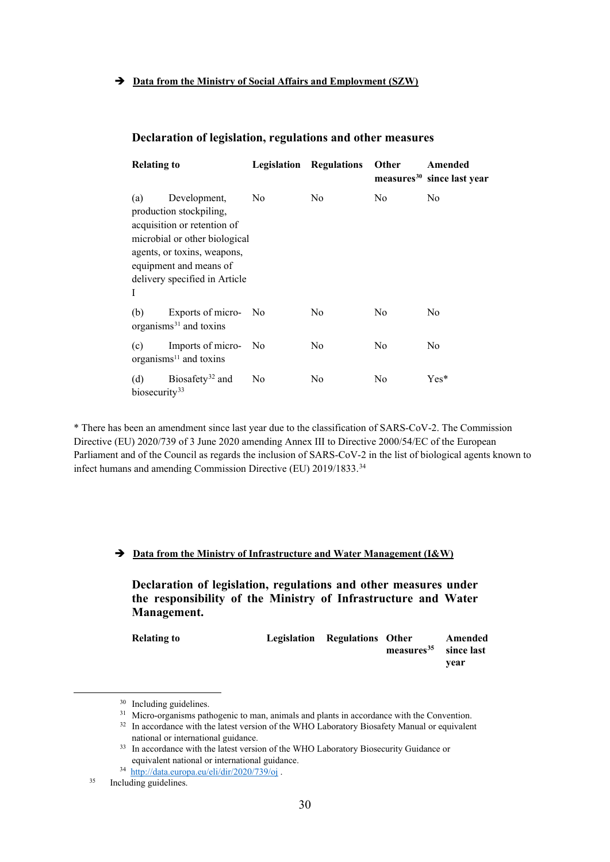## **Declaration of legislation, regulations and other measures**

| <b>Relating to</b>               |                                                                                                                                                                                                   | Legislation    | <b>Regulations</b> | <b>Other</b> | Amended<br>measures <sup>30</sup> since last year |
|----------------------------------|---------------------------------------------------------------------------------------------------------------------------------------------------------------------------------------------------|----------------|--------------------|--------------|---------------------------------------------------|
| (a)<br>I                         | Development,<br>production stockpiling,<br>acquisition or retention of<br>microbial or other biological<br>agents, or toxins, weapons,<br>equipment and means of<br>delivery specified in Article | N <sub>0</sub> | N <sub>0</sub>     | No           | No                                                |
| (b)                              | Exports of micro-<br>organisms <sup>31</sup> and toxins                                                                                                                                           | N <sub>0</sub> | N <sub>0</sub>     | No           | N <sub>0</sub>                                    |
| (c)                              | Imports of micro-<br>organisms <sup>11</sup> and toxins                                                                                                                                           | No             | N <sub>0</sub>     | No           | No                                                |
| (d)<br>biosecurity <sup>33</sup> | Biosafety <sup>32</sup> and                                                                                                                                                                       | No             | N <sub>0</sub>     | No           | $Yes*$                                            |

\* There has been an amendment since last year due to the classification of SARS-CoV-2. The Commission Directive (EU) 2020/739 of 3 June 2020 amending Annex III to Directive 2000/54/EC of the European Parliament and of the Council as regards the inclusion of SARS-CoV-2 in the list of biological agents known to infect humans and amending Commission Directive (EU) 2019/1833.[34](#page-29-4)

## **Data from the Ministry of Infrastructure and Water Management (I&W)**

**Declaration of legislation, regulations and other measures under the responsibility of the Ministry of Infrastructure and Water Management.**

| <b>Relating to</b> | Legislation Regulations Other |                                   | Amended |
|--------------------|-------------------------------|-----------------------------------|---------|
|                    |                               | measures <sup>35</sup> since last |         |
|                    |                               |                                   | vear    |

 $30$  Including guidelines.<br> $31$  Micro-organisms pathogenic to man, animals and plants in accordance with the Convention.

<sup>&</sup>lt;sup>32</sup> In accordance with the latest version of the WHO Laboratory Biosafety Manual or equivalent

national or international guidance.<br><sup>33</sup> In accordance with the latest version of the WHO Laboratory Biosecurity Guidance or equivalent national or international guidance.

<span id="page-29-5"></span><span id="page-29-4"></span><span id="page-29-3"></span><span id="page-29-2"></span><span id="page-29-1"></span><span id="page-29-0"></span> $\frac{34 \text{ http://data.europa.eu/eli/dir/2020/739/oj}}{\text{Including guidelines}}$  $\frac{34 \text{ http://data.europa.eu/eli/dir/2020/739/oj}}{\text{Including guidelines}}$  $\frac{34 \text{ http://data.europa.eu/eli/dir/2020/739/oj}}{\text{Including guidelines}}$ 

Including guidelines.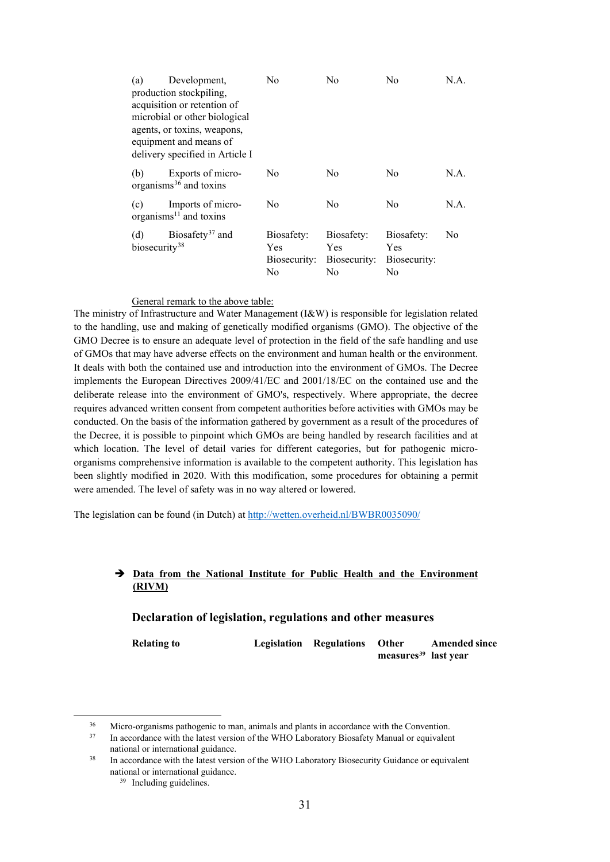| (a)                              | Development,<br>production stockpiling,<br>acquisition or retention of<br>microbial or other biological<br>agents, or toxins, weapons,<br>equipment and means of<br>delivery specified in Article I | No                                      | No                                             | No                                      | N.A. |
|----------------------------------|-----------------------------------------------------------------------------------------------------------------------------------------------------------------------------------------------------|-----------------------------------------|------------------------------------------------|-----------------------------------------|------|
| (b)                              | Exports of micro-<br>organisms $36$ and toxins                                                                                                                                                      | No                                      | No.                                            | N <sub>0</sub>                          | N.A. |
| (c)                              | Imports of micro-<br>organisms $^{11}$ and toxins                                                                                                                                                   | No.                                     | No                                             | No                                      | N.A. |
| (d)<br>biosecurity <sup>38</sup> | Biosafety <sup>37</sup> and                                                                                                                                                                         | Biosafety:<br>Yes<br>Biosecurity:<br>No | Biosafety:<br><b>Yes</b><br>Biosecurity:<br>No | Biosafety:<br>Yes<br>Biosecurity:<br>No | No   |

### General remark to the above table:

The ministry of Infrastructure and Water Management (I&W) is responsible for legislation related to the handling, use and making of genetically modified organisms (GMO). The objective of the GMO Decree is to ensure an adequate level of protection in the field of the safe handling and use of GMOs that may have adverse effects on the environment and human health or the environment. It deals with both the contained use and introduction into the environment of GMOs. The Decree implements the European Directives 2009/41/EC and 2001/18/EC on the contained use and the deliberate release into the environment of GMO's, respectively. Where appropriate, the decree requires advanced written consent from competent authorities before activities with GMOs may be conducted. On the basis of the information gathered by government as a result of the procedures of the Decree, it is possible to pinpoint which GMOs are being handled by research facilities and at which location. The level of detail varies for different categories, but for pathogenic microorganisms comprehensive information is available to the competent authority. This legislation has been slightly modified in 2020. With this modification, some procedures for obtaining a permit were amended. The level of safety was in no way altered or lowered.

The legislation can be found (in Dutch) at<http://wetten.overheid.nl/BWBR0035090/>

### **Data from the National Institute for Public Health and the Environment (RIVM)**

### **Declaration of legislation, regulations and other measures**

**Relating to Legislation Regulations Other measures[39](#page-30-3) last year Amended since** 

<span id="page-30-0"></span><sup>&</sup>lt;sup>36</sup> Micro-organisms pathogenic to man, animals and plants in accordance with the Convention.<br><sup>37</sup> In accordance with the latest version of the WHO Laboratory Biosafety Manual or equivalent

<span id="page-30-1"></span>national or international guidance.<br><sup>38</sup> In accordance with the latest version of the WHO Laboratory Biosecurity Guidance or equivalent

<span id="page-30-3"></span><span id="page-30-2"></span>national or international guidance.<br><sup>39</sup> Including guidelines.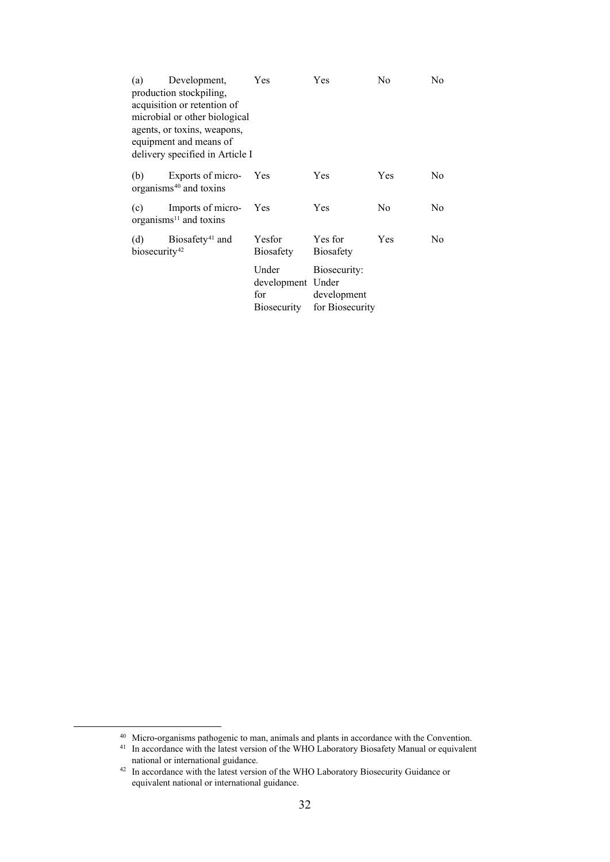| (a)                       | Development,                                            | Yes                                     | Yes                                            | No  | No  |
|---------------------------|---------------------------------------------------------|-----------------------------------------|------------------------------------------------|-----|-----|
|                           | production stockpiling,                                 |                                         |                                                |     |     |
|                           | acquisition or retention of                             |                                         |                                                |     |     |
|                           | microbial or other biological                           |                                         |                                                |     |     |
|                           | agents, or toxins, weapons,                             |                                         |                                                |     |     |
|                           | equipment and means of                                  |                                         |                                                |     |     |
|                           | delivery specified in Article I                         |                                         |                                                |     |     |
|                           |                                                         |                                         |                                                |     |     |
| (b)                       | Exports of micro-<br>organisms <sup>40</sup> and toxins | Yes                                     | Yes                                            | Yes | No  |
|                           |                                                         |                                         |                                                |     |     |
| (c)                       | Imports of micro-<br>$organisms11$ and toxins           | Yes                                     | Yes                                            | No  | No. |
|                           | (d) Biosafety <sup>41</sup> and                         | Yesfor                                  | Yes for                                        | Yes | No. |
| biosecurity <sup>42</sup> |                                                         | Biosafety                               | <b>Biosafety</b>                               |     |     |
|                           |                                                         | Under                                   |                                                |     |     |
|                           |                                                         |                                         |                                                |     |     |
|                           |                                                         |                                         |                                                |     |     |
|                           |                                                         |                                         |                                                |     |     |
|                           |                                                         | development Under<br>for<br>Biosecurity | Biosecurity:<br>development<br>for Biosecurity |     |     |

<span id="page-31-1"></span><span id="page-31-0"></span><sup>&</sup>lt;sup>40</sup> Micro-organisms pathogenic to man, animals and plants in accordance with the Convention.<br><sup>41</sup> In accordance with the latest version of the WHO Laboratory Biosafety Manual or equivalent national or international guidance.<br><sup>42</sup> In accordance with the latest version of the WHO Laboratory Biosecurity Guidance or

<span id="page-31-2"></span>equivalent national or international guidance.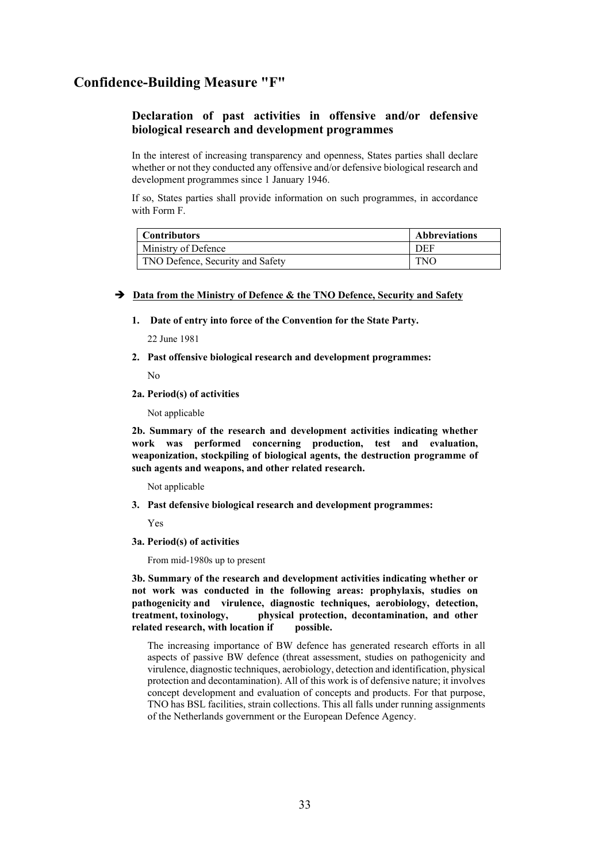## **Confidence-Building Measure "F"**

## **Declaration of past activities in offensive and/or defensive biological research and development programmes**

In the interest of increasing transparency and openness, States parties shall declare whether or not they conducted any offensive and/or defensive biological research and development programmes since 1 January 1946.

If so, States parties shall provide information on such programmes, in accordance with Form F.

| <b>Contributors</b>              | <b>Abbreviations</b> |
|----------------------------------|----------------------|
| Ministry of Defence              | DEF                  |
| TNO Defence, Security and Safety | <b>TNO</b>           |

#### $\rightarrow$  Data from the Ministry of Defence & the TNO Defence, Security and Safety

**1. Date of entry into force of the Convention for the State Party.**

22 June 1981

**2. Past offensive biological research and development programmes:**

No

**2a. Period(s) of activities**

Not applicable

**2b. Summary of the research and development activities indicating whether work was performed concerning production, test and evaluation, weaponization, stockpiling of biological agents, the destruction programme of such agents and weapons, and other related research.**

Not applicable

**3. Past defensive biological research and development programmes:**

Yes

**3a. Period(s) of activities**

From mid-1980s up to present

**3b. Summary of the research and development activities indicating whether or not work was conducted in the following areas: prophylaxis, studies on pathogenicity and virulence, diagnostic techniques, aerobiology, detection, treatment, toxinology, physical protection, decontamination, and other related research, with location if possible.**

The increasing importance of BW defence has generated research efforts in all aspects of passive BW defence (threat assessment, studies on pathogenicity and virulence, diagnostic techniques, aerobiology, detection and identification, physical protection and decontamination). All of this work is of defensive nature; it involves concept development and evaluation of concepts and products. For that purpose, TNO has BSL facilities, strain collections. This all falls under running assignments of the Netherlands government or the European Defence Agency.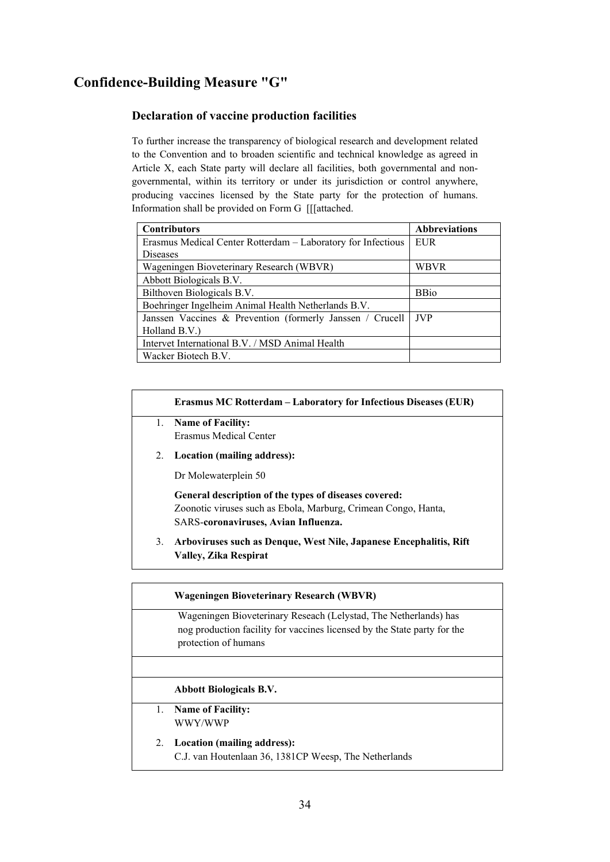## **Confidence-Building Measure "G"**

## **Declaration of vaccine production facilities**

To further increase the transparency of biological research and development related to the Convention and to broaden scientific and technical knowledge as agreed in Article X, each State party will declare all facilities, both governmental and nongovernmental, within its territory or under its jurisdiction or control anywhere, producing vaccines licensed by the State party for the protection of humans. Information shall be provided on Form G [[[attached.

| <b>Contributors</b>                                          | <b>Abbreviations</b> |
|--------------------------------------------------------------|----------------------|
| Erasmus Medical Center Rotterdam – Laboratory for Infectious | EUR                  |
| Diseases                                                     |                      |
| Wageningen Bioveterinary Research (WBVR)                     | WBVR                 |
| Abbott Biologicals B.V.                                      |                      |
| Bilthoven Biologicals B.V.                                   | <b>BBio</b>          |
| Boehringer Ingelheim Animal Health Netherlands B.V.          |                      |
| Janssen Vaccines & Prevention (formerly Janssen / Crucell    | <b>JVP</b>           |
| Holland B.V.)                                                |                      |
| Intervet International B.V. / MSD Animal Health              |                      |
| Wacker Biotech B.V.                                          |                      |

### **Erasmus MC Rotterdam – Laboratory for Infectious Diseases (EUR)**

- 1. **Name of Facility:** Erasmus Medical Center
- 2. **Location (mailing address):**

Dr Molewaterplein 50

**General description of the types of diseases covered:** Zoonotic viruses such as Ebola, Marburg, Crimean Congo, Hanta, SARS-**coronaviruses, Avian Influenza.**

3. **Arboviruses such as Denque, West Nile, Japanese Encephalitis, Rift Valley, Zika Respirat**

## **Wageningen Bioveterinary Research (WBVR)**

Wageningen Bioveterinary Reseach (Lelystad, The Netherlands) has nog production facility for vaccines licensed by the State party for the protection of humans

## **Abbott Biologicals B.V.**

- 1. **Name of Facility:** WWY/WWP
- 2. **Location (mailing address):** C.J. van Houtenlaan 36, 1381CP Weesp, The Netherlands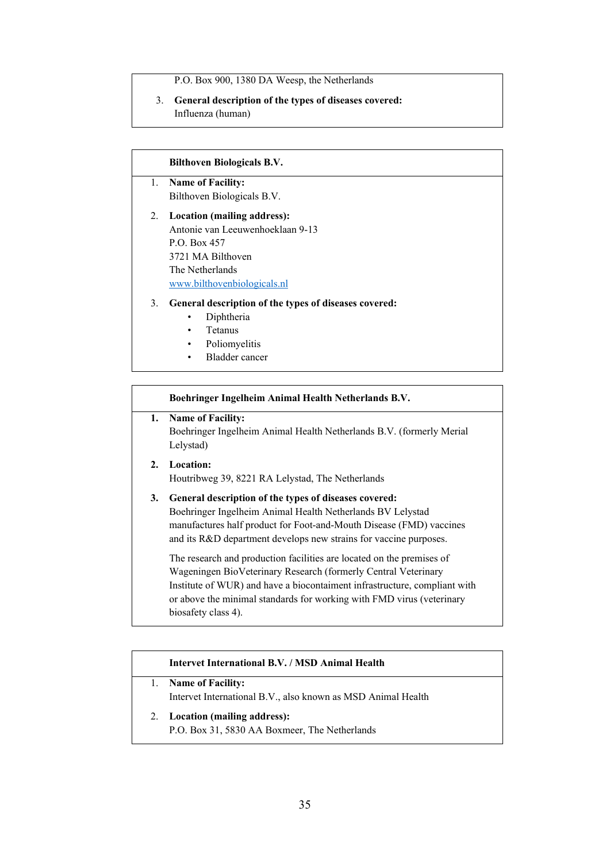P.O. Box 900, 1380 DA Weesp, the Netherlands

### 3. **General description of the types of diseases covered:** Influenza (human)

### **Bilthoven Biologicals B.V.**

- 1. **Name of Facility:** Bilthoven Biologicals B.V.
- 2. **Location (mailing address):** Antonie van Leeuwenhoeklaan 9-13 P.O. Box 457 3721 MA Bilthoven The Netherlands [www.bilthovenbiologicals.nl](http://www.bilthovenbiologicals.nl/)

### 3. **General description of the types of diseases covered:**

- Diphtheria
- Tetanus
- Poliomyelitis
- Bladder cancer

### **Boehringer Ingelheim Animal Health Netherlands B.V.**

## **1. Name of Facility:**

Boehringer Ingelheim Animal Health Netherlands B.V. (formerly Merial Lelystad)

## **2. Location:** Houtribweg 39, 8221 RA Lelystad, The Netherlands

## **3. General description of the types of diseases covered:** Boehringer Ingelheim Animal Health Netherlands BV Lelystad manufactures half product for Foot-and-Mouth Disease (FMD) vaccines and its R&D department develops new strains for vaccine purposes.

The research and production facilities are located on the premises of Wageningen BioVeterinary Research (formerly Central Veterinary Institute of WUR) and have a biocontaiment infrastructure, compliant with or above the minimal standards for working with FMD virus (veterinary biosafety class 4).

## **Intervet International B.V. / MSD Animal Health**

- 1. **Name of Facility:** Intervet International B.V., also known as MSD Animal Health
- 2. **Location (mailing address):** P.O. Box 31, 5830 AA Boxmeer, The Netherlands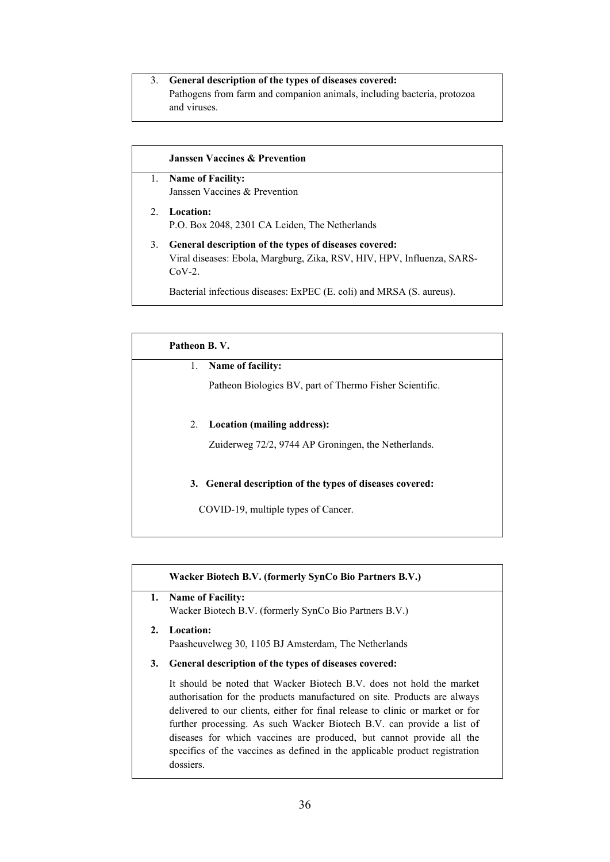## 3. **General description of the types of diseases covered:**

Pathogens from farm and companion animals, including bacteria, protozoa and viruses.

### **Janssen Vaccines & Prevention**

- 1. **Name of Facility:** Janssen Vaccines & Prevention
- 2. **Location:** P.O. Box 2048, 2301 CA Leiden, The Netherlands 3. **General description of the types of diseases covered:**
	- Viral diseases: Ebola, Margburg, Zika, RSV, HIV, HPV, Influenza, SARS-CoV-2.

Bacterial infectious diseases: ExPEC (E. coli) and MRSA (S. aureus).

## **Patheon B. V.**

## 1. **Name of facility:**

Patheon Biologics BV, part of Thermo Fisher Scientific.

## 2. **Location (mailing address):**

Zuiderweg 72/2, 9744 AP Groningen, the Netherlands.

## **3. General description of the types of diseases covered:**

COVID-19, multiple types of Cancer.

## **Wacker Biotech B.V. (formerly SynCo Bio Partners B.V.)**

## **1. Name of Facility:**

Wacker Biotech B.V. (formerly SynCo Bio Partners B.V.)

# **2. Location:**

Paasheuvelweg 30, 1105 BJ Amsterdam, The Netherlands

**3. General description of the types of diseases covered:**

It should be noted that Wacker Biotech B.V. does not hold the market authorisation for the products manufactured on site. Products are always delivered to our clients, either for final release to clinic or market or for further processing. As such Wacker Biotech B.V. can provide a list of diseases for which vaccines are produced, but cannot provide all the specifics of the vaccines as defined in the applicable product registration dossiers.